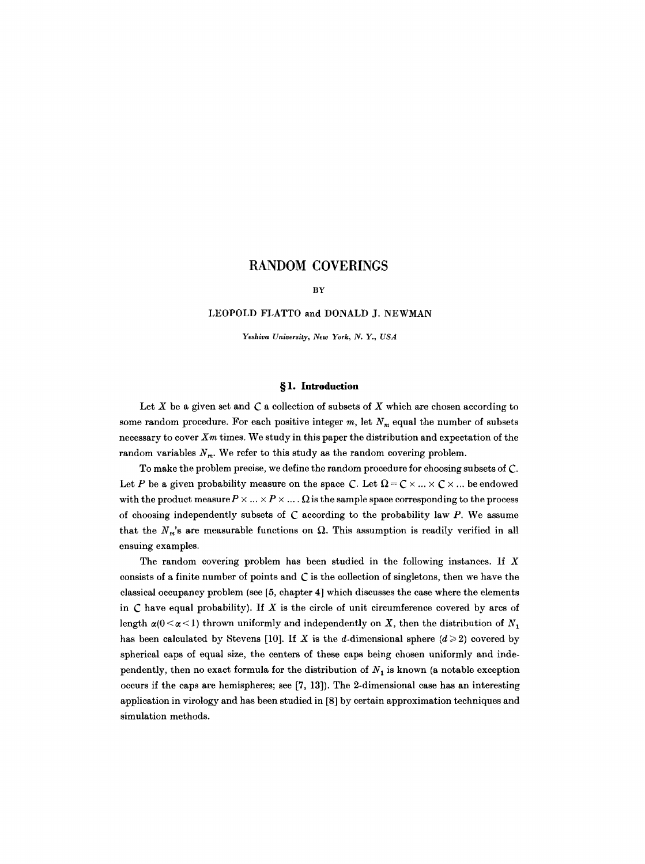#### BY

# LEOPOLD FLATTO and DONALD J. NEWMAN

*Yeshiva University, New York, N. Y., USA* 

# **w 1. Introduction**

Let  $X$  be a given set and  $C$  a collection of subsets of  $X$  which are chosen according to some random procedure. For each positive integer  $m$ , let  $N_m$  equal the number of subsets necessary to cover *Xm* times. We study in this paper the distribution and expectation of the random variables  $N_m$ . We refer to this study as the random covering problem.

To make the problem precise, we define the random procedure for choosing subsets of C. Let P be a given probability measure on the space C. Let  $\Omega = \mathbb{C} \times ... \times \mathbb{C} \times ...$  be endowed with the product measure  $P \times ... \times P \times ... \times \Omega$  is the sample space corresponding to the process of choosing independently subsets of  $C$  according to the probability law  $P$ . We assume that the  $N_m$ 's are measurable functions on  $\Omega$ . This assumption is readily verified in all ensuing examples.

The random covering problem has been studied in the following instances. If  $X$ consists of a finite number of points and  $C$  is the collection of singletons, then we have the classical occupancy problem (see [5, chapter 4] which discusses the case where the elements in  $C$  have equal probability). If  $X$  is the circle of unit circumference covered by arcs of length  $\alpha(0 < \alpha < 1)$  thrown uniformly and independently on X, then the distribution of  $N_1$ has been calculated by Stevens [10]. If X is the d-dimensional sphere  $(d \geq 2)$  covered by spherical caps of equal size, the centers of these caps being chosen uniformly and independently, then no exact formula for the distribution of  $N_1$  is known (a notable exception occurs if the caps are hemispheres; see [7, 13]). The 2-dimensional case has an interesting application in virology and has been studied in [8] by certain approximation techniques and simulation methods.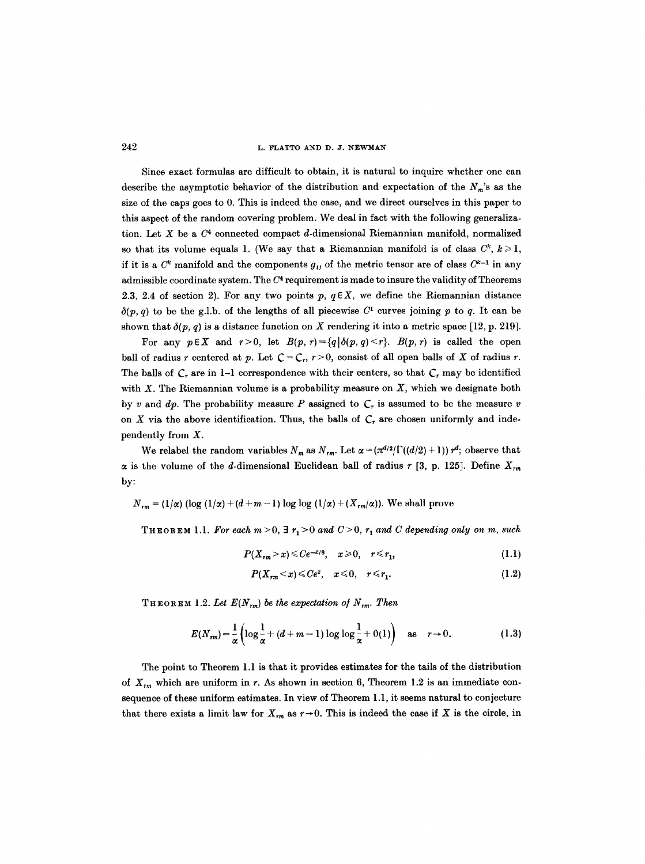### 242 L. FLATTO AND D. J. NEWMAN

Since exact formulas are difficult to obtain, it is natural to inquire whether one can describe the asymptotic behavior of the distribution and expectation of the  $N_m$ 's as the size of the caps goes to 0. This is indeed the case, and we direct ourselves in this paper to this aspect of the random covering problem. We deal in fact with the following generalization. Let X be a  $C<sup>4</sup>$  connected compact d-dimensional Riemannian manifold, normalized so that its volume equals 1. (We say that a Riemannian manifold is of class  $C^k$ ,  $k \geq 1$ , if it is a  $C^k$  manifold and the components  $g_{ij}$  of the metric tensor are of class  $C^{k-1}$  in any admissible coordinate system. The  $C<sup>4</sup>$  requirement is made to insure the validity of Theorems 2.3, 2.4 of section 2). For any two points  $p, q \in X$ , we define the Riemannian distance  $\delta(p, q)$  to be the g.l.b. of the lengths of all piecewise  $C^1$  curves joining p to q. It can be shown that  $\delta(p, q)$  is a distance function on X rendering it into a metric space [12, p. 219].

For any  $p \in X$  and  $r > 0$ , let  $B(p, r) = \{q | \delta(p, q) < r\}$ .  $B(p, r)$  is called the open ball of radius r centered at p. Let  $C = C_r$ ,  $r > 0$ , consist of all open balls of X of radius r. The balls of  $C_r$  are in 1-1 correspondence with their centers, so that  $C_r$  may be identified with  $X$ . The Riemannian volume is a probability measure on  $X$ , which we designate both by v and  $dp$ . The probability measure P assigned to  $C<sub>r</sub>$  is assumed to be the measure v on X via the above identification. Thus, the balls of  $C<sub>r</sub>$  are chosen uniformly and independently from X.

We relabel the random variables  $N_m$  as  $N_{rm}$ . Let  $\alpha = (\pi^{d/2} / \Gamma((d/2) + 1)) r^d$ ; observe that  $\alpha$  is the volume of the *d*-dimensional Euclidean ball of radius  $r$  [3, p. 125]. Define  $X_{rm}$ by:

$$
N_{rm} = (1/\alpha) (\log (1/\alpha) + (d+m-1) \log \log (1/\alpha) + (X_{rm}/\alpha))
$$
. We shall prove

THEOREM 1.1. For each  $m>0$ ,  $\exists r_1>0$  and  $C>0$ ,  $r_1$  and C depending only on m, such

$$
P(X_{rm} > x) \leq C e^{-x/8}, \quad x \geq 0, \quad r \leq r_1,
$$
\n
$$
(1.1)
$$

$$
P(X_{rm} < x) \leq C e^x, \quad x \leq 0, \quad r \leq r_1. \tag{1.2}
$$

THEOREM 1.2. Let  $E(N_{rm})$  be the expectation of  $N_{rm}$ . Then

$$
E(N_{rm}) = \frac{1}{\alpha} \left( \log \frac{1}{\alpha} + (d + m - 1) \log \log \frac{1}{\alpha} + O(1) \right) \text{ as } r \to 0.
$$
 (1.3)

The point to Theorem 1.1 is that it provides estimates for the tails of the distribution of  $X_{rm}$  which are uniform in r. As shown in section 6, Theorem 1.2 is an immediate consequence of these uniform estimates. In view of Theorem 1.1, it seems natural to conjecture that there exists a limit law for  $X_{rm}$  as  $r \rightarrow 0$ . This is indeed the case if X is the circle, in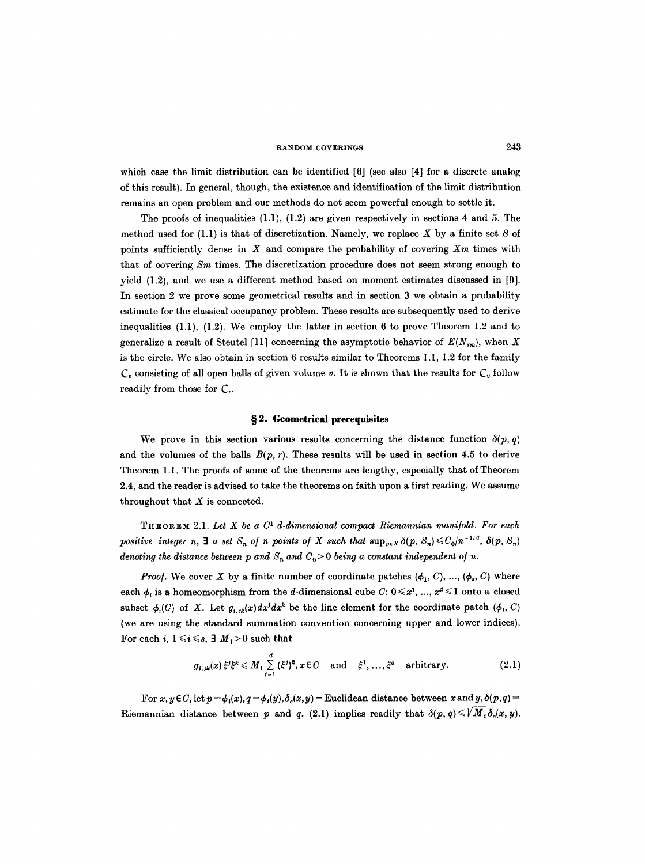which case the limit distribution can be identified [6] (see also [4] for a discrete analog of this result). In general, though, the existence and identification of the limit distribution remains an open problem and our methods do not seem powerful enough to settle it.

The proofs of inequalities  $(1.1)$ ,  $(1.2)$  are given respectively in sections 4 and 5. The method used for  $(1.1)$  is that of discretization. Namely, we replace X by a finite set S of points sufficiently dense in X and compare the probability of covering *Xm* times with that of covering *Sm* times. The discretization procedure does not seem strong enough to yield (1.2), and we use a different method based on moment estimates discussed in [9]. In section 2 we prove some geometrical results and in section 3 we obtain a probability estimate for the classical occupancy problem. These results are subsequently used to derive inequalities  $(1.1)$ ,  $(1.2)$ . We employ the latter in section 6 to prove Theorem 1.2 and to generalize a result of Steutel [11] concerning the asymptotic behavior of  $E(N_{rm})$ , when X is the circle. We also obtain in section 6 results similar to Theorems 1.1, 1.2 for the family  $C_v$  consisting of all open balls of given volume v. It is shown that the results for  $C_v$  follow readily from those for  $C_{r}$ .

# **w 2. Geometrical prerequisites**

We prove in this section various results concerning the distance function  $\delta(p, q)$ and the volumes of the balls  $B(p, r)$ . These results will be used in section 4.5 to derive Theorem 1.1. The proofs of some of the theorems are lengthy, especially that of Theorem 2.4, and the reader is advised to take the theorems on faith upon a first reading. We assume throughout that  $X$  is connected.

THEOREM 2.1. *Let X be a C 1 d-dimensional compact Riemannian mani/old. For each positive integer n,*  $\exists$  *a set*  $S_n$  *of n points of X such that*  $\sup_{p \in X} \delta(p, S_n) \leq C_0/n^{-1/d}$ ,  $\delta(p, S_n)$ *denoting the distance between p and*  $S_n$  *and*  $C_0 > 0$  *being a constant independent of n.* 

*Proof.* We cover X by a finite number of coordinate patches  $(\phi_1, C), ..., (\phi_s, C)$  where each  $\phi_i$  is a homeomorphism from the d-dimensional cube  $C: 0 \leq x^1, ..., x^d \leq 1$  onto a closed subset  $\phi_i(C)$  of X. Let  $g_{i,\mu}(x)dx^i dx^k$  be the line element for the coordinate patch  $(\phi_i, C)$ (we are using the standard summation convention concerning upper and lower indices). For each i,  $1 \le i \le s$ ,  $\exists M > 0$  such that

$$
g_{i,jk}(x)\xi^{j}\xi^{k} \leqslant M_{i}\sum_{j=1}^{d}(\xi^{j})^{2}, x \in C \quad \text{and} \quad \xi^{1},\ldots,\xi^{d} \quad \text{arbitrary.} \tag{2.1}
$$

For  $x, y \in C$ , let  $p = \phi_i(x), q = \phi_i(y), \delta_e(x, y)$  = Euclidean distance between x and y,  $\delta(p, q)$  = Riemannian distance between p and q. (2.1) implies readily that  $\delta(p, q) \leq V M_i \delta_e(x, y)$ .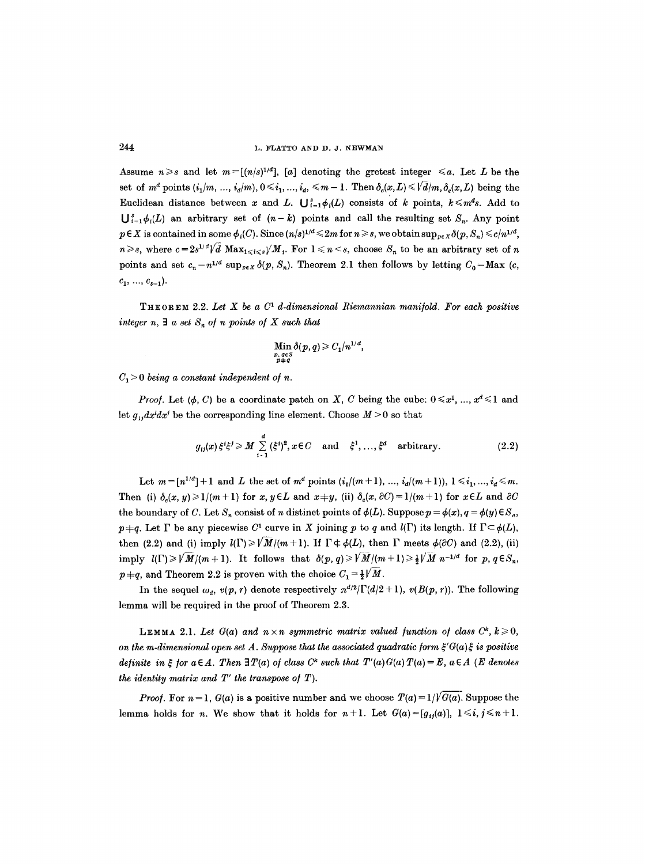Assume  $n \geq s$  and let  $m = \lfloor (n/s)^{1/d} \rfloor$ , [a] denoting the gretest integer  $\leq a$ . Let L be the set of  $m^d$  points  $(i_1/m, ..., i_d/m)$ ,  $0 \le i_1, ..., i_d \le m-1$ . Then  $\delta_e(x,L) \le \sqrt{d/m}, \delta_e(x,L)$  being the Euclidean distance between x and L.  $\bigcup_{i=1}^{s} \phi_i(L)$  consists of k points,  $k \leq m^d s$ . Add to  $\bigcup_{i=1}^{s} \phi_i(L)$  an arbitrary set of  $(n-k)$  points and call the resulting set  $S_n$ . Any point  $p \in X$  is contained in some  $\phi_i(C)$ . Since  $(n/s)^{1/d} \leq 2m$  for  $n \geq s$ , we obtain  $\sup_{p \in X} \delta(p, S_n) \leq c/n^{1/d}$ ,  $n \geq s$ , where  $c=2s^{1/d}\sqrt{d} \text{ Max}_{1\leq i \leq s}/M_i$ . For  $1 \leq n \leq s$ , choose  $S_n$  to be an arbitrary set of n points and set  $c_n = n^{1/d} \sup_{p \in X} \delta(p, S_n)$ . Theorem 2.1 then follows by letting  $C_0 = \text{Max } (c,$  $c_1, ..., c_{s-1}$ ).

THEOREM 2.2. Let X be a  $C<sup>1</sup>$  d-dimensional Riemannian manifold. For each positive integer  $n, \exists a$  set  $S_n$  of n points of X such that

Min 
$$
\delta(p,q) \geq C_1/n^{1/d}
$$
,  
\n $p, q \in S$   
\n $p+q$ 

 $C_1 > 0$  being a constant independent of *n*.

*Proof.* Let  $(\phi, C)$  be a coordinate patch on X, C being the cube:  $0 \leq x^1, ..., x^d \leq 1$  and let  $g_{i,d}x^{i}dx^{j}$  be the corresponding line element. Choose  $M > 0$  so that

$$
g_{ij}(x)\xi^{i}\xi^{j} \geqslant M \sum_{i=1}^{d} (\xi^{i})^{2}, x \in C \quad \text{and} \quad \xi^{1}, \ldots, \xi^{d} \quad \text{arbitrary.}
$$
 (2.2)

Let  $m = [n^{1/d}] + 1$  and L the set of  $m^d$  points  $(i_l/(m+1), ..., i_d/(m+1)), 1 \leq i_1, ..., i_d \leq m$ . Then (i)  $\delta_e(x, y) \ge 1/(m+1)$  for x,  $y \in L$  and  $x+y$ , (ii)  $\delta_e(x, \partial C) = 1/(m+1)$  for  $x \in L$  and  $\partial C$ the boundary of C. Let  $S_n$  consist of n distinct points of  $\phi(L)$ . Suppose  $p = \phi(x)$ ,  $q = \phi(y) \in S_n$ ,  $p\neq q$ . Let  $\Gamma$  be any piecewise  $C^1$  curve in X joining p to q and  $l(\Gamma)$  its length. If  $\Gamma \subset \phi(L)$ , then (2.2) and (i) imply  $l(\Gamma)\geq \sqrt{M/(m+1)}$ . If  $\Gamma\neq \phi(L)$ , then  $\Gamma$  meets  $\phi(\partial C)$  and (2.2), (ii) imply  $l(\Gamma) \geq \sqrt{\frac{M}{m+1}}$ . It follows that  $\delta(p, q) \geq \sqrt{\frac{M}{m+1}} \geq \frac{1}{2} \sqrt{\frac{M}{m}} n^{-1/4}$  for p,  $q \in S_n$ ,  $p+q$ , and Theorem 2.2 is proven with the choice  $C_1 = \frac{1}{2}V/M$ .

In the sequel  $\omega_a$ ,  $v(p, r)$  denote respectively  $\pi^{d/2} \Gamma(d/2 + 1)$ ,  $v(B(p, r))$ . The following lemma will be required in the proof of Theorem 2.3.

LEMMA 2.1. Let  $G(a)$  and  $n \times n$  symmetric matrix valued function of class  $C^k$ ,  $k \geq 0$ , *on the m-dimensional open set A. Suppose that the associated quadratic form*  $\xi'G(a)\xi$  *is positive definite in*  $\xi$  *for a* $\in$  *A. Then* 3*T(a) of class C<sup>k</sup> such that T'(a)G(a)T(a)* = *E, a* $\in$  *A* (*E denotes the identity matrix and*  $T'$  *the transpose of T).* 

*Proof.* For  $n = 1$ ,  $G(a)$  is a positive number and we choose  $T(a) = 1/\sqrt{G(a)}$ . Suppose the lemma holds for *n*. We show that it holds for  $n+1$ . Let  $G(a)=[g_{ij}(a)], 1 \leq i, j \leq n+1$ .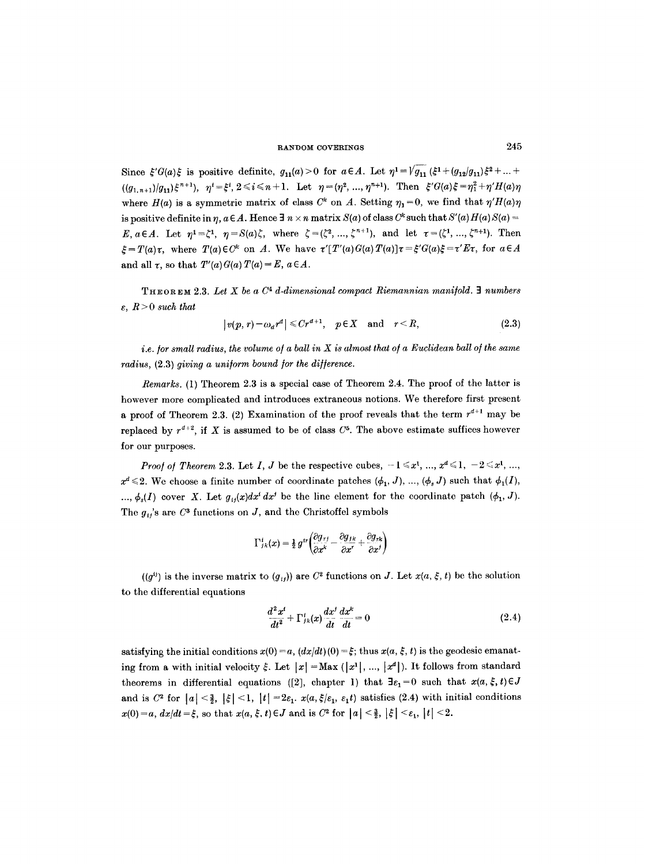Since  $\xi'G(a)\xi$  is positive definite,  $g_{11}(a) > 0$  for  $a \in A$ . Let  $\eta^1 = \sqrt{g_{11}} (\xi^1 + (g_{12}/g_{11})\xi^2 + ... +$  $((q_{1,n+1})/q_{11})\xi^{n+1}), \quad \eta^{i}=\xi^{i}, 2\leq i\leq n+1.$  Let  $\eta=(\eta^{2},...,\eta^{n+1}).$  Then  $\xi'G(a)\xi=\eta_{1}^{2}+\eta'H(a)\eta$ where  $H(a)$  is a symmetric matrix of class  $C^k$  on A. Setting  $\eta_1 = 0$ , we find that  $\eta' H(a)\eta$ is positive definite in  $\eta$ ,  $a \in A$ . Hence  $\exists n \times n$  matrix  $S(a)$  of class  $C^k$  such that  $S'(a)H(a)S(a)$  -*E*,  $a \in A$ . Let  $\eta^1 = \zeta^1$ ,  $\eta = S(a)\zeta$ , where  $\zeta = (\zeta^2, ..., \zeta^{n+1})$ , and let  $\tau = (\zeta^1, ..., \zeta^{n+1})$ . Then  $\mathcal{E} = T(a)\tau$ , where  $T(a) \in C^k$  on A. We have  $\tau'[T'(a)G(a)T(a)]\tau = \xi'G(a)\xi = \tau'Ex$ , for  $a \in A$ and all  $\tau$ , so that  $T'(a)G(a)T(a)=E, a \in A$ .

THEOREM 2.3. Let X be a  $C<sup>4</sup>$  d-dimensional compact Riemannian manifold. **3** numbers  $\varepsilon$ ,  $R > 0$  such that

$$
|v(p,r)-\omega_a r^d| \leq Cr^{d+1}, \quad p \in X \quad \text{and} \quad r < R,\tag{2.3}
$$

*i.e. for small radius, the volume of a ball in X is almost that of a Euclidean ball of the same radius, (2.3) giving a uniform bound for the difference.* 

*Remarks.* (1) Theorem 2.3 is a special case of Theorem 2.4. The proof of the latter is however more complicated and introduces extraneous notions. We therefore first present a proof of Theorem 2.3. (2) Examination of the proof reveals that the term  $r^{d+1}$  may be replaced by  $r^{d+2}$ , if X is assumed to be of class  $C^5$ . The above estimate suffices however for our purposes.

*Proof of Theorem 2.3.* Let I, J be the respective cubes,  $-1 \leq x^1, ..., x^d \leq 1, -2 \leq x^1, ...,$  $x^d \leq 2$ . We choose a finite number of coordinate patches  $(\phi_1, J)$ , ...,  $(\phi_s J)$  such that  $\phi_1(I)$ , ...,  $\phi_s(I)$  cover X. Let  $g_{ij}(x)dx^i dx^j$  be the line element for the coordinate patch  $(\phi_1, J)$ . The  $g_{ij}$ 's are  $C^3$  functions on J, and the Christoffel symbols

$$
\Gamma^{i}_{jk}(x) = \frac{1}{2} g^{i\prime} \left( \frac{\partial g_{j\prime}}{\partial x^k} - \frac{\partial g_{jk}}{\partial x^r} + \frac{\partial g_{jk}}{\partial x^j} \right)
$$

 $((g^{ij})$  is the inverse matrix to  $(g_{ij})$  are  $C^2$  functions on J. Let  $x(a, \xi, t)$  be the solution to the differential equations

$$
\frac{d^2x^i}{dt^2} + \Gamma^i_{jk}(x)\frac{dx^j}{dt}\frac{dx^k}{dt} = 0\tag{2.4}
$$

satisfying the initial conditions  $x(0) = a$ ,  $\left(\frac{dx}{dt}\right)(0) = \xi$ ; thus  $x(a, \xi, t)$  is the geodesic emanating from a with initial velocity  $\xi$ . Let  $|x| = \text{Max } (|x^1|, ..., |x^d|)$ . It follows from standard theorems in differential equations ([2], chapter 1) that  $\exists \varepsilon_1=0$  such that  $x(a, \xi, t) \in J$ and is C<sup>2</sup> for  $|a| < \frac{3}{2}$ ,  $|\xi| < 1$ ,  $|t| = 2\varepsilon_1$ .  $x(a, \xi/\varepsilon_1, \varepsilon_1 t)$  satisfies (2.4) with initial conditions  $x(0) = a, dx/dt = \xi$ , so that  $x(a, \xi, t) \in J$  and is  $C^2$  for  $|a| < \frac{3}{2}$ ,  $|\xi| < \varepsilon_1$ ,  $|t| < 2$ .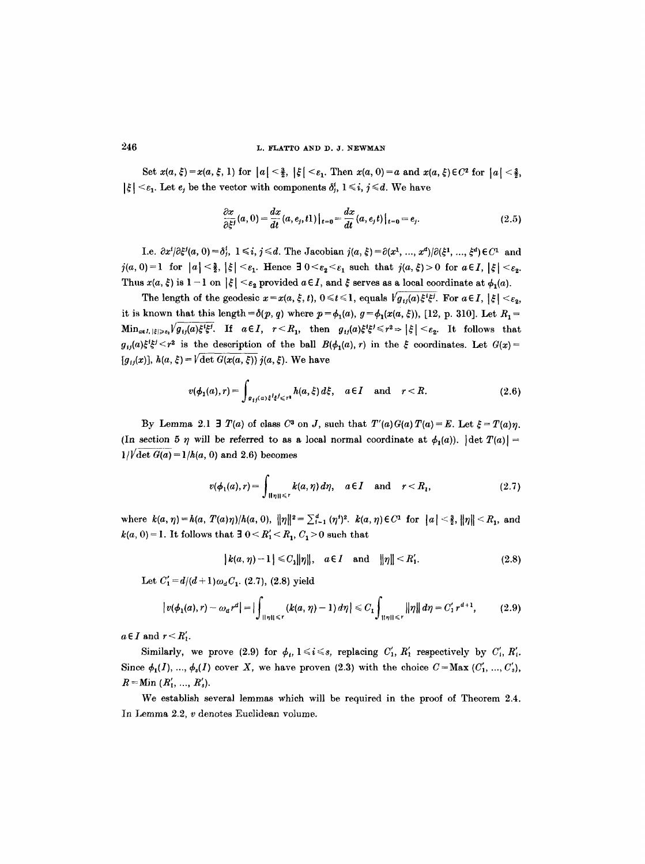Set  $x(a, \xi) = x(a, \xi, 1)$  for  $|a| < \frac{3}{2}$ ,  $|\xi| < \varepsilon_1$ . Then  $x(a, 0) = a$  and  $x(a, \xi) \in C^2$  for  $|a| < \frac{3}{2}$ ,  $|\xi| < \varepsilon_1$ . Let  $e_i$  be the vector with components  $\delta_i^i$ ,  $1 \leq i, j \leq d$ . We have

$$
\frac{\partial x}{\partial \xi^{j}}(a,0) = \frac{dx}{dt}(a,e_{j},t) |_{t=0} = \frac{dx}{dt}(a,e_{j},t) |_{t=0} = e_{j}.
$$
\n(2.5)

I.e.  $\partial x^{i}/\partial \xi^{j}(a, 0) = \delta_{j}^{i}, 1 \leq i, j \leq d$ . The Jacobian  $j(a, \xi) = \partial (x^{1}, ..., x^{d})/\partial (\xi^{1}, ..., \xi^{d}) \in C^{1}$  and  $j(a, 0)=1$  for  $|a|<\frac{3}{2}$ ,  $|\xi|<\varepsilon_1$ . Hence  $\exists 0<\varepsilon_2<\varepsilon_1$  such that  $j(a, \xi)>0$  for  $a\in I$ ,  $|\xi|<\varepsilon_2$ . Thus  $x(a, \xi)$  is  $1 - 1$  on  $|\xi| < \varepsilon_2$  provided  $a \in I$ , and  $\xi$  serves as a local coordinate at  $\phi_1(a)$ .

The length of the geodesic  $x = x(a, \xi, t)$ ,  $0 \le t \le 1$ , equals  $\sqrt{g_{ii}(a)\xi^i\xi^j}$ . For  $a \in I$ ,  $|\xi| < \varepsilon_2$ , it is known that this length  $=\delta(p, q)$  where  $p = \phi_1(a), g = \phi_1(x(a, \xi))$ , [12, p. 310]. Let  $R_1 =$  $\min_{a \in I, |\xi| \geqslant \varepsilon_1} \sqrt{g_{ij}(a)\xi^i \xi^j}$ . If  $a \in I, r < R_1$ , then  $g_{ij}(a)\xi^i \xi^j \leqslant r^2 \Rightarrow |\xi| < \varepsilon_2$ . It follows that  $g_{ij}(a)\xi^{i}\xi^{j} < r^{2}$  is the description of the ball  $B(\phi_{1}(a), r)$  in the  $\xi$  coordinates. Let  $G(x)$ =  $[g_{ij}(x)]$ ,  $h(a, \xi) = \sqrt{\det G(x(a, \xi))}i(a, \xi)$ . We have

$$
v(\phi_1(a),r) = \int_{\mathfrak{g}_{ij}(a)\xi^i\xi^j\leq r^i} h(a,\xi)\,d\xi, \quad a\in I \quad \text{and} \quad r < R. \tag{2.6}
$$

By Lemma 2.1  $\exists$  *T(a)* of class C<sup>3</sup> on *J*, such that  $T'(a)G(a)T(a)=E$ . Let  $\xi = T(a)\eta$ . (In section 5  $\eta$  will be referred to as a local normal coordinate at  $\phi_1(a)$ ). [det  $T(a)$ ] =  $1/\sqrt{\det G(a)} = 1/h(a, 0)$  and 2.6) becomes

$$
v(\phi_1(a),r) = \int_{\|\eta\| \leq r} k(a,\eta) d\eta, \quad a \in I \quad \text{and} \quad r < R_1,\tag{2.7}
$$

where  $k(a, \eta) = h(a, T(a)\eta)/h(a, 0), ||\eta||^2 = \sum_{i=1}^d (\eta^i)^2$ .  $k(a, \eta) \in C^1$  for  $||a|| \leq \frac{3}{2}$ ,  $||\eta|| \leq R_1$ , and  $k(a, 0) = 1$ . It follows that  $\exists \ 0 \le R'_1 \le R_1, C_1 > 0$  such that

$$
|k(a, \eta)-1| \leq C_1 ||\eta||, \quad a \in I \quad \text{and} \quad ||\eta|| \leq R'_1.
$$
 (2.8)

Let  $C'_1 = d/(d+1)\omega_dC_1$ . (2.7), (2.8) yield

$$
|v(\phi_1(a),r)-\omega_a r^a|=|\int_{\|\eta\| \leq r} (k(a,\eta)-1) d\eta| \leq C_1 \int_{\|\eta\| \leq r} \|\eta\| d\eta = C_1' r^{a+1}, \qquad (2.9)
$$

 $a \in I$  and  $r \leq R'_1$ .

Similarly, we prove (2.9) for  $\phi_i$ ,  $1 \leq i \leq s$ , replacing  $C'_1$ ,  $R'_1$  respectively by  $C'_i$ ,  $R'_i$ . Since  $\phi_1(I), ..., \phi_s(I)$  cover X, we have proven (2.3) with the choice  $C = Max (C'_1, ..., C'_s)$ ,  $R =$ Min  $(R'_1, ..., R'_s)$ .

We establish several lemmas which will be required in the proof of Theorem 2.4. In Lemma 2.2, v denotes Euclidean volume.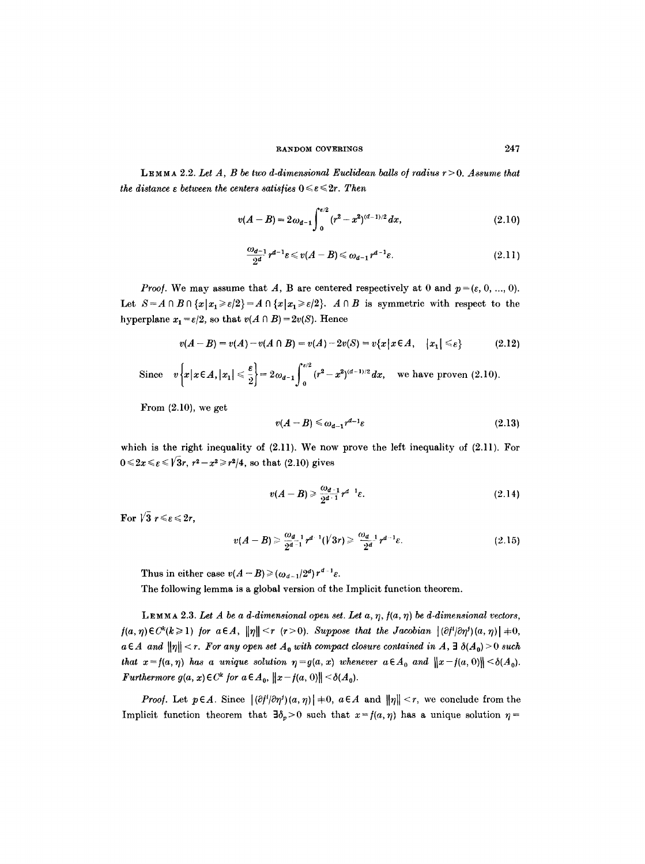LEMM), 2.2. *Let A, B be two d-dimensional Euclidean balls o/radius* r>0. *Assume that the distance*  $\varepsilon$  *between the centers satisfies*  $0 \leq \varepsilon \leq 2r$ . Then

$$
v(A-B)=2\omega_{d-1}\int_0^{\varepsilon/2}(r^2-x^2)^{(d-1)/2}\,dx,\qquad\qquad(2.10)
$$

$$
\frac{\omega_{d-1}}{2^d}r^{d-1}\varepsilon \leqslant v(A-B) \leqslant \omega_{d-1}r^{d-1}\varepsilon. \tag{2.11}
$$

*Proof.* We may assume that A, B are centered respectively at 0 and  $p = (\varepsilon, 0, ..., 0)$ . Let  $S = A \cap B \cap \{x | x_1 \ge \varepsilon/2\} = A \cap \{x | x_1 \ge \varepsilon/2\}$ .  $A \cap B$  is symmetric with respect to the hyperplane  $x_1 = \varepsilon/2$ , so that  $v(A \cap B) = 2v(S)$ . Hence

$$
v(A-B) = v(A) - v(A \cap B) = v(A) - 2v(S) = v\{x \mid x \in A, \quad |x_1| \leq \varepsilon\}
$$
 (2.12)

Since  $v\left\{x|x\in A,|x_1|\leqslant \frac{\varepsilon}{2}\right\}=2\omega_{d-1}\int_{0}^{\varepsilon/2} (r^2-x^2)^{(d-1)/2} dx$ , we have proven (2.10).

From  $(2.10)$ , we get

$$
v(A-B) \leq \omega_{d-1} r^{d-1} \varepsilon \tag{2.13}
$$

which is the right inequality of  $(2.11)$ . We now prove the left inequality of  $(2.11)$ . For  $0 \le 2x \le \epsilon \le \sqrt{3}r$ ,  $r^2 - x^2 \ge r^2/4$ , so that (2.10) gives

$$
v(A-B) \geq \frac{\omega_{d-1}}{2^{d-1}} r^{d-1} \varepsilon. \tag{2.14}
$$

For  $\sqrt{3}$   $r \leqslant \epsilon \leqslant 2r$ ,

$$
v(A-B) \geq \frac{\omega_{d-1}}{2^{d-1}} r^{d-1} (\sqrt{3}r) \geq \frac{\omega_{d-1}}{2^{d}} r^{d-1} \varepsilon. \tag{2.15}
$$

Thus in either case  $v(A-B) \geq (\omega_{d-1}/2^d) r^{d-1} \varepsilon$ .

The following lemma is a global version of the Implicit function theorem.

LEMMA 2.3. Let  $A$  be a  $d$ -dimensional open set. Let  $a, \eta, f(a, \eta)$  be  $d$ -dimensional vectors,  $f(a, \eta) \in C^k(k \geq 1)$  for  $a \in A$ ,  $\|\eta\| \leq r$  ( $r > 0$ ). Suppose that the Jacobian  $|(\partial f^i/\partial \eta^j)(a, \eta)| \neq 0$ ,  $a \in A$  and  $||\eta|| < r$ . For any open set  $A_0$  with compact closure contained in  $A$ ,  $\exists \delta(A_0) > 0$  such *that*  $x = f(a, \eta)$  has a unique solution  $\eta = g(a, x)$  whenever  $a \in A_0$  and  $||x - f(a, 0)|| \leq \delta(A_0)$ . *Furthermore*  $g(a, x) \in C^k$  for  $a \in A_0$ ,  $||x - f(a, 0)|| < \delta(A_0)$ .

*Proof.* Let  $p \in A$ . Since  $|(\partial f^{i}|\partial \eta^{j})(a, \eta)| \neq 0$ ,  $a \in A$  and  $\|\eta\| < r$ , we conclude from the Implicit function theorem that  $\exists \delta_p>0$  such that  $x=f(a, \eta)$  has a unique solution  $\eta=$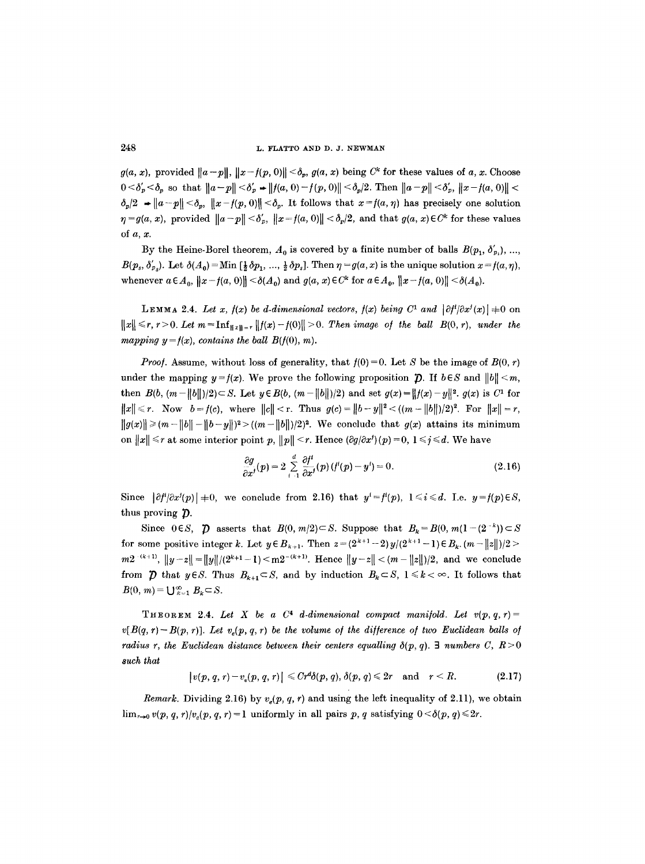$g(a, x)$ , provided  $||a-p||$ ,  $||x-f(p, 0)|| < \delta_n$ ,  $g(a, x)$  being  $C^k$  for these values of a, x. Choose  $0 < \delta'_p < \delta_p$  so that  $||a-p|| < \delta'_p + ||f(a, 0) - f(p, 0)|| < \delta_p/2$ . Then  $||a-p|| < \delta'_p$ ,  $||x - f(a, 0)|| < \delta_p/2$ .  $\delta_p/2$   $\rightarrow$   $||a-p|| < \delta_p$ ,  $||x-f(p, 0)|| < \delta_p$ . It follows that  $x=f(a, \eta)$  has precisely one solution  $\eta = g(a, x)$ , provided  $||a - p|| < \delta'_v$ ,  $||x = f(a, 0)|| < \delta_v/2$ , and that  $g(a, x) \in C^k$  for these values of  $a, x$ .

By the Heine-Borel theorem,  $A_0$  is covered by a finite number of balls  $B(p_1, \delta'_p)$ , ...  $B(p_s, \delta'_{p_s})$ . Let  $\delta(A_0) =$ Min  $\left[\frac{1}{2}\delta p_1, \ldots, \frac{1}{2}\delta p_s\right]$ . Then  $\eta = g(a, x)$  is the unique solution  $x = f(a, \eta)$ , whenever  $a \in A_0$ ,  $||x - f(a, 0)|| \le \delta(A_0)$  and  $g(a, x) \in C^k$  for  $a \in A_0$ ,  $||x - f(a, 0)|| \le \delta(A_0)$ .

LEMMA 2.4. Let x,  $f(x)$  be d-dimensional vectors,  $f(x)$  being  $C^1$  and  $|\partial f'|\partial x'(x)| \neq 0$  on  $||x|| \leq r, r > 0.$  Let  $m = \inf_{||x||=r} ||f(x)-f(0)|| > 0.$  Then image of the ball  $B(0, r)$ , under the *mapping y* =  $f(x)$ , *contains the ball B(f(0), m).* 

*Proof.* Assume, without loss of generality, that  $f(0) = 0$ . Let S be the image of  $B(0, r)$ under the mapping  $y=f(x)$ . We prove the following proposition  $\mathcal{D}$ . If  $b \in S$  and  $||b|| \leq m$ , then  $B(b, (m-||b||)/2) \subset S$ . Let  $y \in B(b, (m-||b||)/2)$  and set  $g(x)=||f(x)-y||^2$ .  $g(x)$  is  $C^1$  for  $||x|| \le r$ . Now  $b = f(c)$ , where  $||c|| < r$ . Thus  $g(c) = ||b - y||^2 < ((m - ||b||)/2)^2$ . For  $||x|| = r$ ,  $||g(x)|| \geq (m - ||b|| - ||b - y||)^2 > ((m - ||b||)/2)^2$ . We conclude that  $g(x)$  attains its minimum on  $||x|| \le r$  at some interior point p,  $||p|| \le r$ . Hence  $(\partial g/\partial x^i)(p) = 0, 1 \le j \le d$ . We have

$$
\frac{\partial g}{\partial x^j}(p) = 2 \sum_{i=1}^d \frac{\partial f^i}{\partial x^j}(p) (f^i(p) - y^i) = 0.
$$
 (2.16)

Since  $|\partial f'|\partial x^{j}(p)|=0$ , we conclude from 2.16) that  $y^{i}=f'(p), 1 \leq i \leq d$ . I.e.  $y=f(p) \in S$ , thus proving  $\mathcal{D}$ .

Since  $0 \in S$ ,  $\mathcal{D}$  asserts that  $B(0, m/2) \subset S$ . Suppose that  $B_k = B(0, m(1-(2^{-k})) \subset S$ for some positive integer k. Let  $y \in B_{k+1}$ . Then  $z = (2^{k+1}-2)y/(2^{k+1}-1) \in B_k$ .  $(m-||z||)/2 >$  $m2^{-(k+1)}$ ,  $||y-z|| = ||y||/(2^{k+1}-1) \leq m2^{-(k+1)}$ . Hence  $||y-z|| < (m-||z||)/2$ , and we conclude from  $\tilde{\mathcal{D}}$  that  $y \in S$ . Thus  $B_{k+1} \subset S$ , and by induction  $B_k \subset S$ ,  $1 \leq k < \infty$ . It follows that  $B(0, m) = \bigcup_{k=1}^{\infty} B_k \subset S.$ 

THEOREM 2.4. Let X be a  $C^4$  d-dimensional compact manifold. Let  $v(p,q,r)$  =  $v[B(q, r)-B(p, r)]$ . Let  $v_s(p, q, r)$  be the volume of the difference of two Euclidean balls of *radius r, the Euclidean distance between their centers equalling*  $\delta(p, q)$ *.* 3 *numbers C, R* > 0 *such that* 

$$
|v(p, q, r)-v_e(p, q, r)| \leq Cr^d\delta(p, q), \delta(p, q) \leq 2r \quad \text{and} \quad r < R. \tag{2.17}
$$

*Remark.* Dividing 2.16) by  $v_e(p, q, r)$  and using the left inequality of 2.11), we obtain  $\lim_{r\to 0} v(p, q, r)/v_e(p, q, r)=1$  uniformly in all pairs p, q satisfying  $0<\delta(p, q)\leq 2r$ .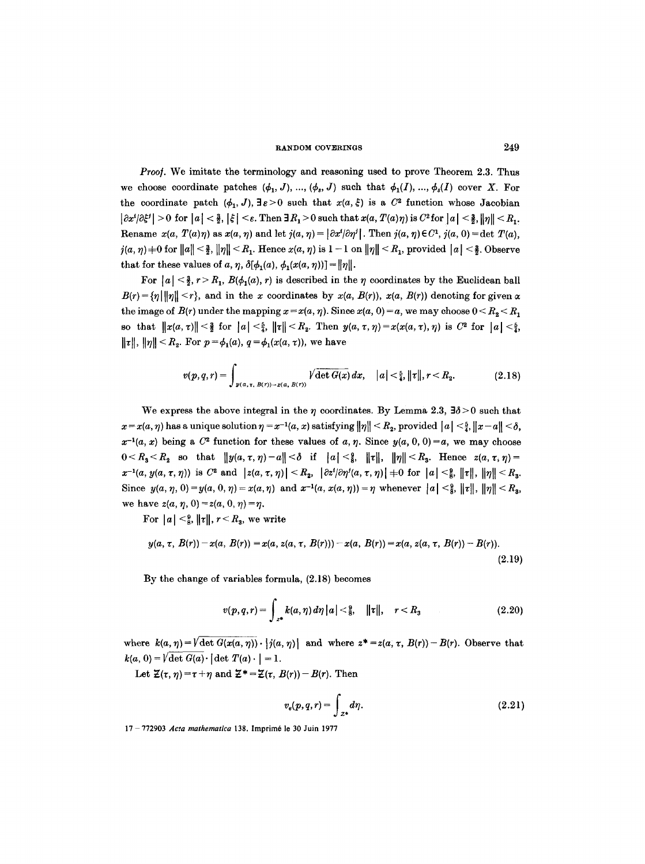*Proof.* We imitate the terminology and reasoning used to prove Theorem 2.3. Thus we choose coordinate patches  $(\phi_1, J)$ , ...,  $(\phi_s, J)$  such that  $\phi_1(I)$ , ...,  $\phi_s(I)$  cover X. For the coordinate patch  $(\phi_1, J)$ ,  $\exists \varepsilon > 0$  such that  $x(a, \xi)$  is a  $C^2$  function whose Jacobian  $|\partial x^{i}/\partial \xi^{j}| > 0$  for  $|a| < \frac{3}{2}$ ,  $|\xi| < \varepsilon$ . Then  $\exists R_1 > 0$  such that  $x(a, T(a)\eta)$  is  $C^2$  for  $|a| < \frac{3}{2}$ ,  $\|\eta\| < R_1$ . Rename  $x(a, T(a)\eta)$  as  $x(a, \eta)$  and let  $j(a, \eta) = |\partial x^{i}|\partial \eta^{j}|$ . Then  $j(a, \eta) \in C^{1}$ ,  $j(a, 0) = \det T(a)$ ,  $i(a, \eta)$   $\neq$  0 for  $||a|| < \frac{3}{2}$ ,  $||\eta|| < R_1$ . Hence  $x(a, \eta)$  is  $1 - 1$  on  $||\eta|| < R_1$ , provided  $||a|| < \frac{3}{2}$ . Observe that for these values of a,  $\eta$ ,  $\delta[\phi_1(a), \phi_1(x(a, \eta))] = ||\eta||$ .

For  $|a| < \frac{3}{2}$ ,  $r > R_1$ ,  $B(\phi_1(a), r)$  is described in the  $\eta$  coordinates by the Euclidean ball  $B(r) = \{ \eta \mid ||\eta|| < r \}$ , and in the x coordinates by  $x(a, B(r))$ ,  $x(a, B(r))$  denoting for given x the image of  $B(r)$  under the mapping  $x = x(a, \eta)$ . Since  $x(a, 0) = a$ , we may choose  $0 \le R_{2} \le R_{1}$ so that  $||x(a, \tau)|| < \frac{3}{2}$  for  $|a| < \frac{5}{4}$ ,  $||\tau|| < R_2$ . Then  $y(a, \tau, \eta) = x(x(a, \tau), \eta)$  is  $C^2$  for  $|a| < \frac{5}{4}$ ,  $||\tau||, ||\eta|| < R_2$ . For  $p = \phi_1(a), q = \phi_1(x(a, \tau))$ , we have

$$
v(p,q,r) = \int_{y(a,\tau,\ B(r)) - x(a,\ B(r))} \sqrt{\det G(x)} \, dx, \quad |a| < \frac{5}{4}, \|\tau\|, r < R_2. \tag{2.18}
$$

We express the above integral in the  $\eta$  coordinates. By Lemma 2.3,  $\exists \delta > 0$  such that  $x = x(a, \eta)$  has a unique solution  $\eta = x^{-1}(a, x)$  satisfying  $\|\eta\| < R_2$ , provided  $\|a\| < \frac{5}{4}$ ,  $\|x-a\| < \delta$ ,  $x^{-1}(a, x)$  being a  $C^2$  function for these values of a,  $\eta$ . Since  $y(a, 0, 0) = a$ , we may choose  $0 \leq R_3 \leq R_2$  so that  $||y(a, \tau, \eta) - a|| \leq \delta$  if  $|a| \leq \frac{2}{\delta}$ ,  $||\tau||$ ,  $||\eta|| \leq R_3$ . Hence  $z(a, \tau, \eta) =$  $x^{-1}(a, y(a, \tau, \eta))$  is C<sup>2</sup> and  $|z(a, \tau, \eta)| < R_2$ ,  $|\partial z'| \partial \eta'(a, \tau, \eta)| + 0$  for  $|a| < \frac{9}{8}$ ,  $||\tau||$ ,  $||\eta|| < R_3$ . Since  $y(a, \eta, 0) = y(a, 0, \eta) = x(a, \eta)$  and  $x^{-1}(a, x(a, \eta)) = \eta$  whenever  $|a| < \frac{9}{8}$ ,  $||\tau||$ ,  $||\eta|| < R_3$ , we have  $z(a, \eta, 0) = z(a, 0, \eta) = \eta$ .

For  $|a| \leq \frac{9}{8}$ ,  $||\tau||$ ,  $r \leq R_3$ , we write

$$
y(a, \tau, B(r)) - x(a, B(r)) = x(a, z(a, \tau, B(r))) - x(a, B(r)) = x(a, z(a, \tau, B(r)) - B(r)).
$$
\n(2.19)

By the change of variables formula, (2.18) becomes

$$
v(p,q,r) = \int_{z^*} k(a,\eta) d\eta |a| < \tfrac{9}{8}, \quad ||\tau||, \quad r < R_3 \tag{2.20}
$$

where  $k(a, \eta) = \sqrt{\det G(x(a, \eta))} \cdot |j(a, \eta)|$  and where  $z^* = z(a, \tau, B(r)) - B(r)$ . Observe that  $k(a, 0) = \sqrt{\det G(a)} \cdot |\det T(a) \cdot | = 1.$ 

Let  $\mathcal{Z}(\tau, \eta) = \tau + \eta$  and  $\mathcal{Z}^* = \mathcal{Z}(\tau, B(r)) - B(r)$ . Then

$$
v_e(p,q,r) = \int_{z^*} d\eta. \tag{2.21}
$$

17 772903 *Ac:a mathematica* 138. Imprira6 le 30 Juin 1977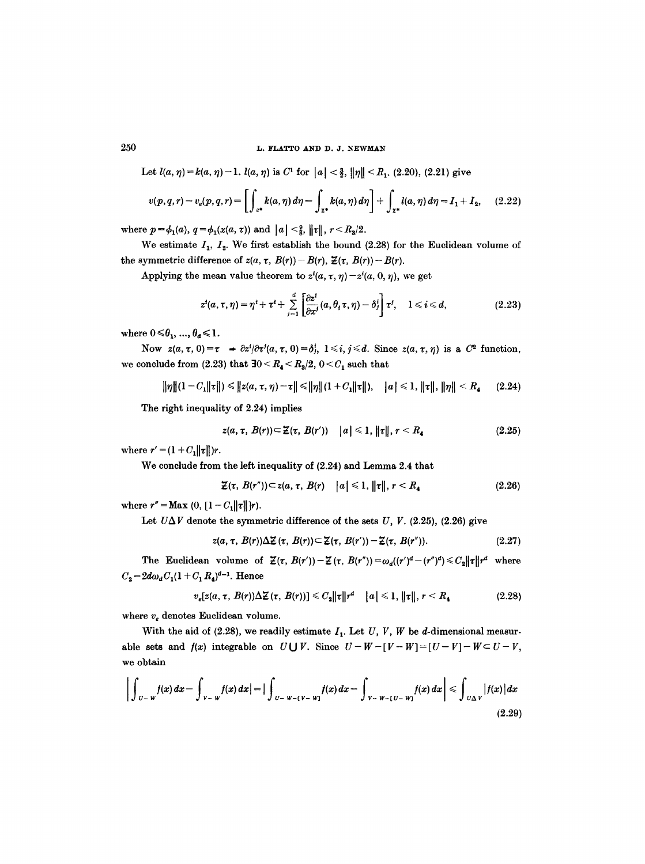# $250$  L. FLATTO AND D. J. NEWMAN

Let  $l(a, \eta) = k(a, \eta) - 1$ .  $l(a, \eta)$  is C<sup>1</sup> for  $|a| < \frac{3}{2}$ ,  $\|\eta\| < R_1$ . (2.20), (2.21) give

$$
v(p,q,r) - v_e(p,q,r) = \left[ \int_{z^*} k(a,\eta) d\eta - \int_{z^*} k(a,\eta) d\eta \right] + \int_{z^*} l(a,\eta) d\eta = I_1 + I_2, \quad (2.22)
$$

where  $p = \phi_1(a)$ ,  $q = \phi_1(x(a, \tau))$  and  $|a| < \frac{9}{8}$ ,  $||\tau||$ ,  $r < R_3/2$ .

We estimate  $I_1$ ,  $I_2$ . We first establish the bound (2.28) for the Euclidean volume of the symmetric difference of  $z(a, \tau, B(r)) - B(r)$ ,  $\mathcal{Z}(\tau, B(r)) - B(r)$ .

Applying the mean value theorem to  $z^i(a, \tau, \eta) - z^i(a, 0, \eta)$ , we get

$$
z^i(a,\tau,\eta)=\eta^i+\tau^i+\sum_{j=1}^d\left[\frac{\partial z^i}{\partial x^j}(a,\theta_i\tau,\eta)-\delta_j^i\right]\tau^j,\quad 1\leq i\leq d,\qquad (2.23)
$$

where  $0 \le \theta_1, ..., \theta_d \le 1$ .

Now  $z(a, \tau, 0) = \tau \rightarrow \partial z^i/\partial \tau^j(a, \tau, 0) = \delta^i_j$ ,  $1 \leq i, j \leq d$ . Since  $z(a, \tau, \eta)$  is a  $C^2$  function, we conclude from  $(2.23)$  that  $\exists 0 \le R_4 \le R_3/2$ ,  $0 \le C_1$  such that

$$
\|\eta\|(1-C_1\|\tau\|) \leq \|z(a,\tau,\eta)-\tau\| \leq \|\eta\|(1+C_1\|\tau\|), \quad |a| \leq 1, \|\tau\|, \|\eta\| < R_4 \qquad (2.24)
$$

The right inequality of 2.24) implies

$$
z(a,\tau,\,B(r))\subset \mathcal{Z}(\tau,\,B(r'))\quad |a|\leqslant 1,\,\|\tau\|,\,r\leq R_4\qquad \qquad (2.25)
$$

where  $r' = (1 + C_1 ||\tau||)r$ .

We conclude from the left inequality of  $(2.24)$  and Lemma 2.4 that

$$
\mathcal{Z}(\tau,\,B(r''))\subset z(a,\,\tau,\,B(r)\quad |a|\leqslant 1,\,\|\tau\|,\,r
$$

where  $r'' = \text{Max } (0, [1 - C_1 || \tau ||]r).$ 

Let  $U\Delta V$  denote the symmetric difference of the sets  $U, V.$  (2.25), (2.26) give

$$
z(a, \tau, B(r))\Delta Z(\tau, B(r)) \subset Z(\tau, B(r')) - Z(\tau, B(r'')). \qquad (2.27)
$$

The Euclidean volume of  $\mathcal{Z}(\tau, B(r'))-\mathcal{Z}(\tau, B(r''))=\omega_d((r')^d-(r'')^d)\leq C_2||\tau||r^d$  where  $C_2 = 2d\omega_a C_1(1 + C_1 R_4)^{d-1}$ . Hence

$$
v_e[z(a,\tau,\,B(r))\Delta\mathcal{Z}(\tau,\,B(r))] \leq C_2\|\tau\|r^d \quad |a| \leq 1, \|\tau\|, \, r < R_4 \tag{2.28}
$$

where  $v_e$  denotes Euclidean volume.

With the aid of (2.28), we readily estimate  $I_1$ . Let U, V, W be d-dimensional measurable sets and  $f(x)$  integrable on  $U \cup V$ . Since  $U-W-[V-W]=[U-V]-W\subset U-V$ , we obtain

$$
\left| \int_{|U - W} f(x) dx - \int_{|V - W} f(x) dx \right| = \left| \int_{|U - W - (V - W)} f(x) dx - \int_{|V - W - (U - W)} f(x) dx \right| \leq \int_{|U \triangle V} |f(x)| dx \tag{2.29}
$$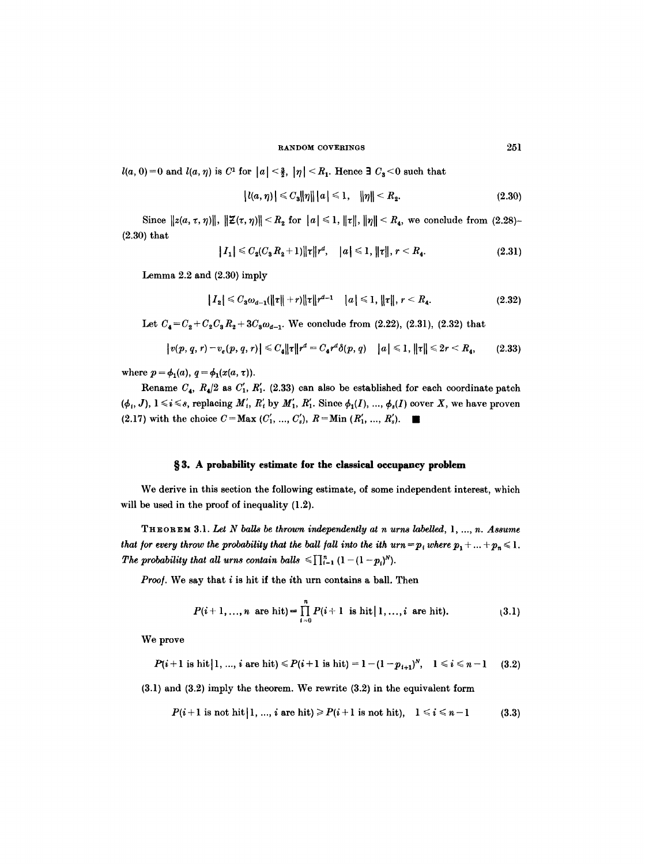$l(a, 0)=0$  and  $l(a, \eta)$  is  $C^1$  for  $|a| < \frac{3}{2}$ ,  $|\eta| < R_1$ . Hence  $\exists C_3 < 0$  such that

$$
|l(a, \eta)| \leq C_3 \|\eta\| |a| \leq 1, \quad \|\eta\| < R_2. \tag{2.30}
$$

Since  $||z(a, \tau, \eta)||$ ,  $||\mathcal{Z}(\tau, \eta)|| < R_2$  for  $||a|| \leq 1$ ,  $||\tau||$ ,  $||\eta|| < R_4$ , we conclude from (2.28)-**(2.30)** that

$$
|I_1| \leq C_2(C_3 R_2 + 1) ||\tau|| r^d, \quad |a| \leq 1, ||\tau||, r < R_4. \tag{2.31}
$$

Lemma 2.2 and (2.30) imply

$$
|I_2| \leq C_3 \omega_{d-1}(\|\tau\|+r) \|\tau\| r^{d-1} \quad |a| \leq 1, \|\tau\|, r < R_4. \tag{2.32}
$$

Let  $C_4 = C_2 + C_2 C_3 R_2 + 3C_3 \omega_{d-1}$ . We conclude from (2.22), (2.31), (2.32) that

$$
|v(p, q, r) - v_e(p, q, r)| \leq C_4 ||\tau|| r^d = C_4 r^d \delta(p, q) \quad |a| \leq 1, ||\tau|| \leq 2r < R_4,\tag{2.33}
$$

where  $p = \phi_1(a), q = \phi_1(x(a, \tau)).$ 

Rename  $C_4$ ,  $R_4/2$  as  $C'_1$ ,  $R'_1$ . (2.33) can also be established for each coordinate patch  $(\phi_1, J)$ ,  $1 \le i \le s$ , replacing  $M'_i$ ,  $R'_i$  by  $M'_1$ ,  $R'_1$ . Since  $\phi_1(I)$ , ...,  $\phi_s(I)$  cover X, we have proven (2.17) with the choice  $C = Max (C'_1, ..., C'_s), R = Min (R'_1, ..., R'_s).$ 

## §3. A probability estimate for the classical occupancy problem

We derive in this section the following estimate, of some independent interest, which will be used in the proof of inequality (1.2).

THEOREM 3.1. *Let N balls be thrown independently at n urns labelled, 1 ..... n. Assume that for every throw the probability that the ball fall into the ith*  $urn = p_i$  *where*  $p_1 + ... + p_n \leq 1$ *. The probability that all urns contain balls*  $\leq \prod_{i=1}^n (1 - (1 - p_i)^N)$ .

*Proof.* We say that i is hit if the ith urn contains a ball. Then

$$
P(i+1,...,n \text{ are hit}) = \prod_{i=0}^{n} P(i+1 \text{ is hit} | 1,...,i \text{ are hit}). \tag{3.1}
$$

We prove

$$
P(i+1 \text{ is hit } | 1, ..., i \text{ are hit}) \leq P(i+1 \text{ is hit}) = 1 - (1 - p_{i+1})^N, \quad 1 \leq i \leq n-1 \quad (3.2)
$$

(3.1) and (3.2) imply the theorem. We rewrite (3.2) in the equivalent form

$$
P(i+1 \text{ is not hit} | 1, ..., i \text{ are hit}) \ge P(i+1 \text{ is not hit}), \quad 1 \le i \le n-1 \tag{3.3}
$$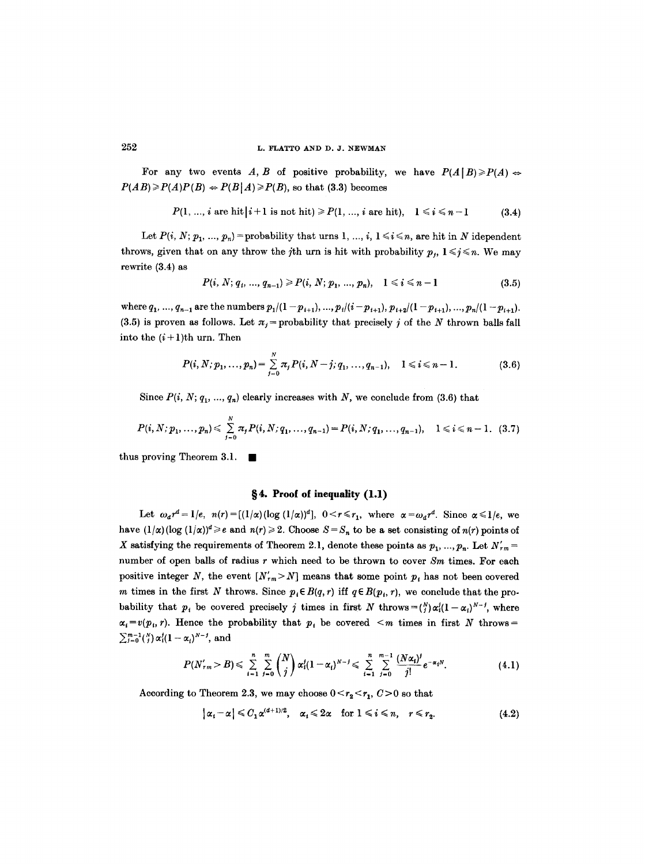For any two events A, B of positive probability, we have  $P(A | B) \geq P(A)$  $P(AB) \ge P(A)P(B) \Leftrightarrow P(B|A) \ge P(B)$ , so that (3.3) becomes

$$
P(1, ..., i \text{ are hit } |i+1 \text{ is not hit}) \ge P(1, ..., i \text{ are hit}), \quad 1 \le i \le n-1 \tag{3.4}
$$

Let  $P(i, N; p_1, ..., p_n)$  = probability that urns 1, ..., *i*,  $1 \le i \le n$ , are hit in N idependent throws, given that on any throw the jth urn is hit with probability  $p_j$ ,  $1 \leq j \leq n$ . We may rewrite (3.4) as

$$
P(i, N; q_i, ..., q_{n-1}) \geq P(i, N; p_1, ..., p_n), \quad 1 \leq i \leq n-1
$$
\n(3.5)

where  $q_1, ..., q_{n-1}$  are the numbers  $p_1/(1-p_{i+1}), ..., p_t/(i-p_{i+1}), p_{i+2}/(1-p_{i+1}), ..., p_n/(1-p_{i+1}).$ (3.5) is proven as follows. Let  $\pi_j$  = probability that precisely j of the N thrown balls fall into the  $(i+1)$ th urn. Then

$$
P(i, N; p_1, ..., p_n) = \sum_{j=0}^{N} \pi_j P(i, N-j; q_1, ..., q_{n-1}), \quad 1 \leq i \leq n-1.
$$
 (3.6)

Since  $P(i, N; q_1, ..., q_n)$  clearly increases with *N*, we conclude from (3.6) that

$$
P(i, N; p_1, ..., p_n) \leq \sum_{j=0}^N \pi_j P(i, N; q_1, ..., q_{n-1}) = P(i, N; q_1, ..., q_{n-1}), \quad 1 \leq i \leq n-1. \tag{3.7}
$$

thus proving Theorem 3.1.  $\blacksquare$ 

#### **w 4. Proof of inequality (1.l)**

Let  $\omega_a r^d = 1/e$ ,  $n(r) = [(1/\alpha)(\log(1/\alpha))^d]$ ,  $0 < r \le r_1$ , where  $\alpha = \omega_a r^d$ . Since  $\alpha \le 1/e$ , we have  $(1/\alpha)(\log(1/\alpha))^d \geq e$  and  $n(r) \geq 2$ . Choose  $S = S_n$  to be a set consisting of  $n(r)$  points of X satisfying the requirements of Theorem 2.1, denote these points as  $p_1, ..., p_n$ . Let  $N'_{rm}$  = number of open balls of radius r which need to be thrown to cover *Sm* times. For each positive integer N, the event  $[N'_{rm} > N]$  means that some point  $p_i$  has not been covered m times in the first N throws. Since  $p_i \in B(q, r)$  iff  $q \in B(p_i, r)$ , we conclude that the probability that  $p_i$  be covered precisely j times in first N throws = $\binom{N}{i}\alpha_i^j(1-\alpha_i)^{N-j}$ , where  $\alpha_i = v(p_i, r)$ . Hence the probability that  $p_i$  be covered  $\leq m$  times in first N throws =  $\sum_{i=0}^{m-1} {N \choose i} \alpha_i^{j} (1 - \alpha_i)^{N-j}$ , and

$$
P(N'_{rm} > B) \leq \sum_{i=1}^{n} \sum_{j=0}^{m} {N \choose j} \alpha'_{i} (1-\alpha_{i})^{N-j} \leq \sum_{i=1}^{n} \sum_{j=0}^{m-1} \frac{(N\alpha_{i})^{j}}{j!} e^{-\alpha_{i}N}.
$$
 (4.1)

According to Theorem 2.3, we may choose  $0 \le r_2 \le r_1$ ,  $C > 0$  so that

$$
|\alpha_i - \alpha| \leq C_1 \alpha^{(d+1)/2}, \quad \alpha_i \leq 2\alpha \quad \text{for } 1 \leq i \leq n, \quad r \leq r_2. \tag{4.2}
$$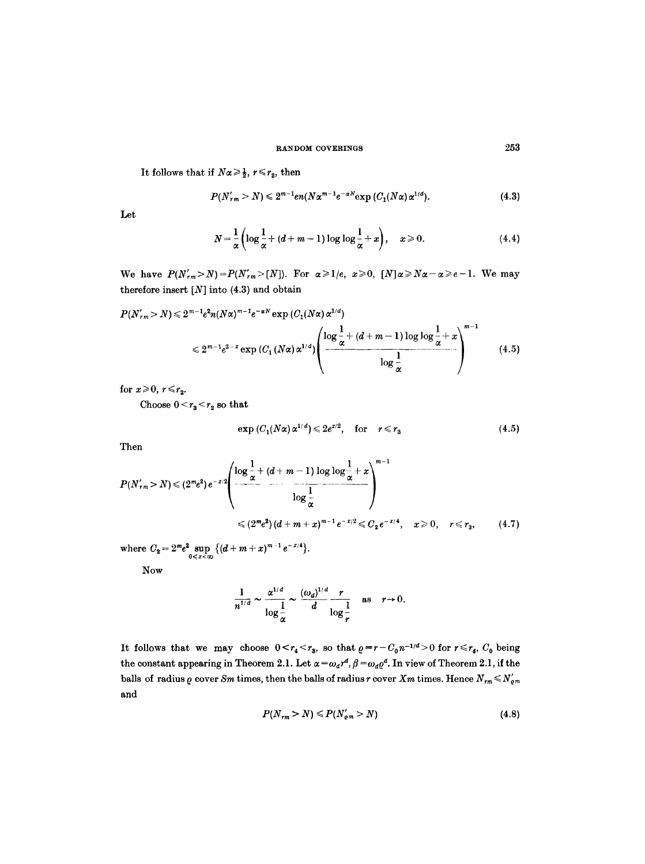It follows that if  $N\alpha \geq \frac{1}{2}$ ,  $r \leq r_2$ , then

$$
P(N'_{rm}) \leq 2^{m-1} e n (N \alpha^{m-1} e^{-\alpha N} \exp{(C_1(N \alpha) \alpha^{1/d})}). \tag{4.3}
$$

Let

$$
N = \frac{1}{\alpha} \left( \log \frac{1}{\alpha} + (d+m-1) \log \log \frac{1}{\alpha} + x \right), \quad x \geqslant 0.
$$
 (4.4)

We have  $P(N'_{rm}>N)=P(N'_{rm}>[N])$ . For  $\alpha \geq 1/e$ ,  $x \geq 0$ ,  $[N]\alpha \geq N\alpha - \alpha \geq e-1$ . We may therefore insert  $[N]$  into (4.3) and obtain

$$
P(N'_{rm}) \le 2^{m-1} e^{2n} (N\alpha)^{m-1} e^{-\alpha N} \exp\left(C_1(N\alpha) \alpha^{1/d}\right)
$$
  

$$
\le 2^{m-1} e^{2-x} \exp\left(C_1(N\alpha) \alpha^{1/d}\right) \left(\frac{\log \frac{1}{\alpha} + (d+m-1) \log \log \frac{1}{\alpha} + x}{\log \frac{1}{\alpha}}\right)^{m-1}
$$
(4.5)

for  $x \ge 0$ ,  $r \le r_2$ .

Choose  $0 \leq r_3 \leq r_2$  so that

$$
\exp(C_1(N\alpha)\alpha^{1/d}) \leqslant 2e^{x/2}, \quad \text{for} \quad r \leqslant r_3 \tag{4.5}
$$

Then

$$
P(N'_{rm}) \leq (2^m e^2) e^{-x/2} \left( \frac{\log \frac{1}{\alpha} + (d+m-1) \log \log \frac{1}{\alpha} + x}{\log \frac{1}{\alpha}} \right)^{m-1}
$$
  

$$
\leq (2^m e^2) (d+m+x)^{m-1} e^{-x/2} \leq C_2 e^{-x/4}, \quad x \geq 0, \quad r \leq r_3,
$$
 (4.7)

where  $C_2 = 2^m e^2 \sup_{0 \leq x < \infty} \{ (d+m+x)^{m-1} e^{-x/4} \}.$ 

Now

$$
\frac{1}{n^{1/d}} \sim \frac{\alpha^{1/d}}{\log \frac{1}{\alpha}} \sim \frac{(\omega_d)^{1/d}}{d} \frac{r}{\log \frac{1}{r}} \quad \text{as} \quad r \to 0.
$$

It follows that we may choose  $0 \lt r_4 \lt r_3$ , so that  $\rho = r - C_0 n^{-1/4} > 0$  for  $r \le r_4$ ,  $C_0$  being the constant appearing in Theorem 2.1. Let  $\alpha = \omega_d r^d$ ,  $\beta = \omega_d \rho^d$ . In view of Theorem 2.1, if the balls of radius  $\rho$  cover *Sm* times, then the balls of radius r cover *Xm* times. Hence  $N_{rm \ell m} \le N'_{\ell m}$ and

$$
P(N_{rm} > N) \leqslant P(N'_{em} > N) \tag{4.8}
$$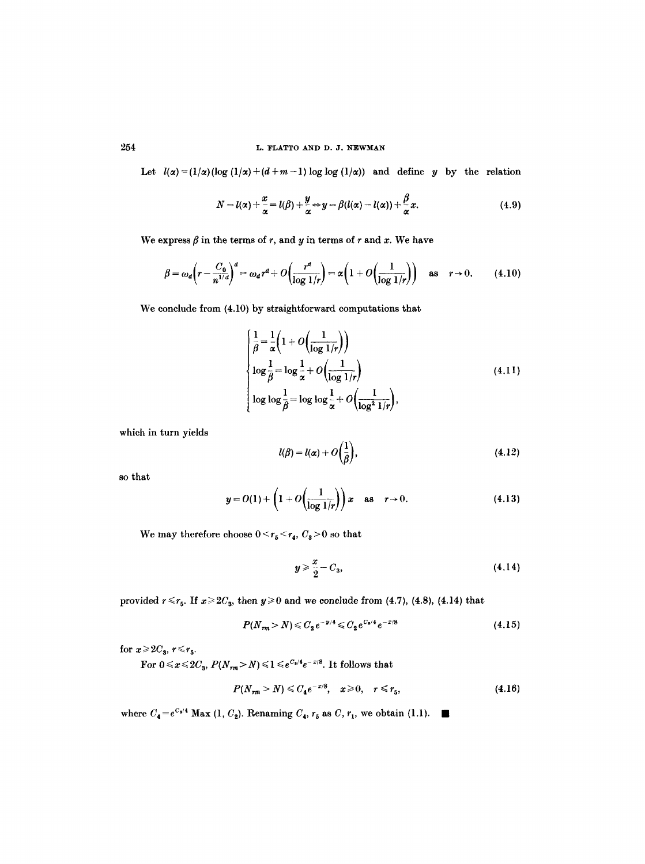# $254$  L. FLATTO AND D. J. NEWMAN

Let  $l(\alpha) = (1/\alpha)(\log(1/\alpha) + (d+m-1) \log \log(1/\alpha))$  and define y by the relation

$$
N = l(\alpha) + \frac{x}{\alpha} = l(\beta) + \frac{y}{\alpha} \Leftrightarrow y = \beta(l(\alpha) - l(\alpha)) + \frac{\beta}{\alpha}x. \tag{4.9}
$$

We express  $\beta$  in the terms of r, and y in terms of r and x. We have

$$
\beta = \omega_d \left(r - \frac{C_0}{n^{1/d}}\right)^d = \omega_d r^d + O\left(\frac{r^d}{\log 1/r}\right) = \alpha \left(1 + O\left(\frac{1}{\log 1/r}\right)\right) \quad \text{as} \quad r \to 0. \tag{4.10}
$$

We eonelude from (4.10) by straightforward computations that

$$
\begin{cases}\n\frac{1}{\beta} = \frac{1}{\alpha} \left( 1 + O\left( \frac{1}{\log 1/r} \right) \right) \\
\log \frac{1}{\beta} = \log \frac{1}{\alpha} + O\left( \frac{1}{\log 1/r} \right) \\
\log \log \frac{1}{\beta} = \log \log \frac{1}{\alpha} + O\left( \frac{1}{\log^2 1/r} \right),\n\end{cases} \tag{4.11}
$$

which in turn yields

$$
l(\beta) = l(\alpha) + O\left(\frac{1}{\beta}\right),\tag{4.12}
$$

so that

$$
y = O(1) + \left(1 + O\left(\frac{1}{\log 1/r}\right)\right)x \quad \text{as} \quad r \to 0. \tag{4.13}
$$

We may therefore choose  $0 \le r_5 \le r_4$ ,  $C_3 > 0$  so that

$$
y \geqslant \frac{x}{2} - C_3, \tag{4.14}
$$

provided  $r \le r_5$ . If  $x \ge 2C_3$ , then  $y \ge 0$  and we conclude from (4.7), (4.8), (4.14) that

$$
P(N_{rm} > N) \leqslant C_2 e^{-\nu/4} \leqslant C_2 e^{C_3/4} e^{-\nu/8} \tag{4.15}
$$

for  $x \ge 2C_s$ ,  $r \le r_5$ .

For  $0 \leqslant x \leqslant 2C_3,$   $P(N_{\tau m} \!> \! N) \leqslant \! 1 \leqslant e^{C_8/4} e^{-\,x/8}.$  It follows that

$$
P(N_{rm} > N) \leq C_4 e^{-x/8}, \quad x \geq 0, \quad r \leq r_5,
$$
 (4.16)

where  $C_4 = e^{c_3/4}$  Max (1,  $C_2$ ). Renaming  $C_4$ ,  $r_5$  as  $C$ ,  $r_1$ , we obtain (1.1).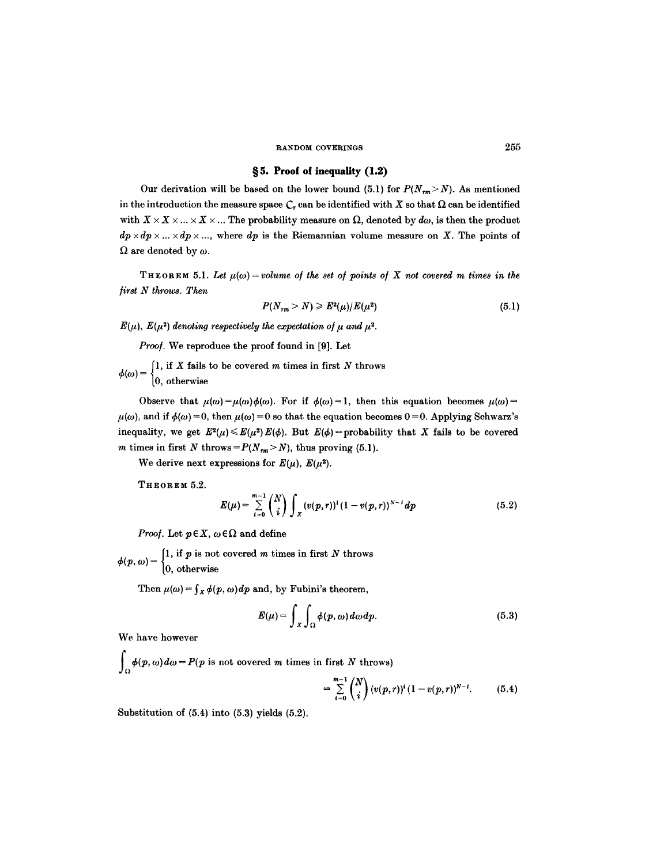# §5. Proof of inequality  $(1.2)$

Our derivation will be based on the lower bound (5.1) for  $P(N_{rm} > N)$ . As mentioned in the introduction the measure space  $C_r$  can be identified with X so that  $\Omega$  can be identified with  $X \times X \times ... \times X \times ...$  The probability measure on  $\Omega$ , denoted by  $d\omega$ , is then the product  $dp \times dp \times ... \times dp \times ...$ , where  $dp$  is the Riemannian volume measure on X. The points of  $\Omega$  are denoted by  $\omega$ .

THEOREM 5.1. Let  $\mu(\omega)$  = volume of the set of points of X not covered m times in the */irst N throws. Then* 

$$
P(N_{rm} > N) \geqslant E^2(\mu)/E(\mu^2)
$$
\n(5.1)

 $E(\mu)$ ,  $E(\mu^2)$  denoting respectively the expectation of  $\mu$  and  $\mu^2$ .

*Proo/.* We reproduce the proof found in [9]. Let

1, if X fails to be covered  $m$  times in first  $N$  throws  $(0, \text{ otherwise})$ 

Observe that  $\mu(\omega) = \mu(\omega)\phi(\omega)$ . For if  $\phi(\omega) = 1$ , then this equation becomes  $\mu(\omega) =$  $\mu(\omega)$ , and if  $\phi(\omega) = 0$ , then  $\mu(\omega) = 0$  so that the equation becomes 0 = 0. Applying Schwarz's inequality, we get  $E^2(\mu) \leq E(\mu^2) E(\phi)$ . But  $E(\phi) =$  probability that X fails to be covered *m* times in first N throws =  $P(N_{rm} > N)$ , thus proving (5.1).

We derive next expressions for  $E(\mu)$ ,  $E(\mu^2)$ .

THEOREM **5.2.** 

$$
E(\mu) = \sum_{i=0}^{m-1} {N \choose i} \int_X (v(p,r))^i (1-v(p,r))^{N-i} dp \qquad (5.2)
$$

*Proof.* Let  $p \in X$ ,  $\omega \in \Omega$  and define

1, if  $p$  is not covered  $m$  times in first  $N$  throws  $\left|0, \text{ otherwise}\right\rangle$ 

Then  $\mu(\omega) = \int_X \phi(p,\omega) dp$  and, by Fubini's theorem,

$$
E(\mu) = \int_{X} \int_{\Omega} \phi(p, \omega) d\omega dp.
$$
 (5.3)

We have however

 $\int_{\Omega} \phi(p, \omega) d\omega = P(p \text{ is not covered } m \text{ times in first } N \text{ throws})$ 

$$
= \sum_{i=0}^{m-1} {N \choose i} (v(p,r))^{i} (1-v(p,r))^{N-i}.
$$
 (5.4)

Substitution of  $(5.4)$  into  $(5.3)$  yields  $(5.2)$ .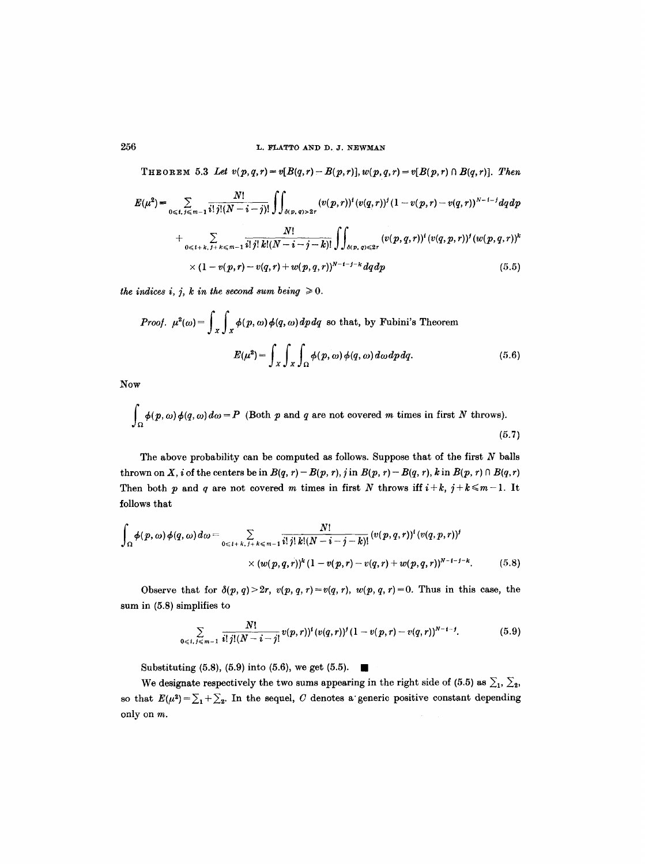THEOREM 5.3 Let  $v(p,q,r) = v[B(q,r)-B(p,r)], w(p,q,r) = v[B(p,r) \cap B(q,r)].$  Then

$$
E(\mu^{2}) = \sum_{0 \leq t, \, j \leq m-1} \frac{N!}{i! \, j! (N-i-j)!} \iint_{\delta(p, q) > 2r} (v(p, r))^{t} (v(q, r))^{j} (1 - v(p, r) - v(q, r))^{N-i-j} dq dp
$$
  
+ 
$$
\sum_{0 \leq t+k, \, j+k \leq m-1} \frac{N!}{i! \, j! \, k! (N-i-j-k)!} \iint_{\delta(p, q) < 2r} (v(p, q, r))^{t} (v(q, p, r))^{j} (w(p, q, r))^{k}
$$
  
×  $(1 - v(p, r) - v(q, r) + w(p, q, r))^{N-i-j-k} dq dp$  (5.5)

*the indices i, j, k in the second sum being*  $\geq 0$ .

*Proof.* 
$$
\mu^2(\omega) = \int_X \int_X \phi(p, \omega) \phi(q, \omega) dp dq
$$
 so that, by Fubini's Theorem  

$$
E(\mu^2) = \int_X \int_X \int_\Omega \phi(p, \omega) \phi(q, \omega) d\omega dp dq.
$$
(5.6)

Now

$$
\int_{\Omega} \phi(p,\omega)\phi(q,\omega)d\omega = P
$$
 (Both *p* and *q* are not covered *m* times in first *N* throws). (5.7)

The above probability can be computed as follows. Suppose that of the first  $N$  balls thrown on X, *i* of the centers be in  $B(q, r) - B(p, r)$ , *j* in  $B(p, r) - B(q, r)$ , *k* in  $B(p, r) \cap B(q, r)$ Then both p and q are not covered m times in first N throws iff  $i+k$ ,  $j+k \leq m-1$ . It follows that

$$
\int_{\Omega} \phi(p,\omega) \phi(q,\omega) d\omega = \sum_{0 \leq l+k, \, j+k \leq m-1} \frac{N!}{i! \, j! \, k! (N-i-j-k)!} (v(p,q,r))^i (v(q,p,r))^j
$$
\n
$$
\times (w(p,q,r))^k (1-v(p,r)-v(q,r)+w(p,q,r))^{N-i-j-k}.
$$
\n(5.8)

Observe that for  $\delta(p, q) > 2r$ ,  $v(p, q, r) = v(q, r)$ ,  $w(p, q, r) = 0$ . Thus in this case, the sum in (5.8) simplifies to

$$
\sum_{0 \leq t, \, j \leq m-1} \frac{N!}{i! \, j! (N-i-j!} v(p,r))^{t} (v(q,r))^{j} (1-v(p,r)-v(q,r))^{N-i-j}.
$$
 (5.9)

Substituting (5.8), (5.9) into (5.6), we get (5.5).

We designate respectively the two sums appearing in the right side of (5.5) as  $\Sigma_1$ ,  $\Sigma_2$ , so that  $E(\mu^2) = \sum_1 + \sum_2$ . In the sequel, C denotes a generic positive constant depending only on m.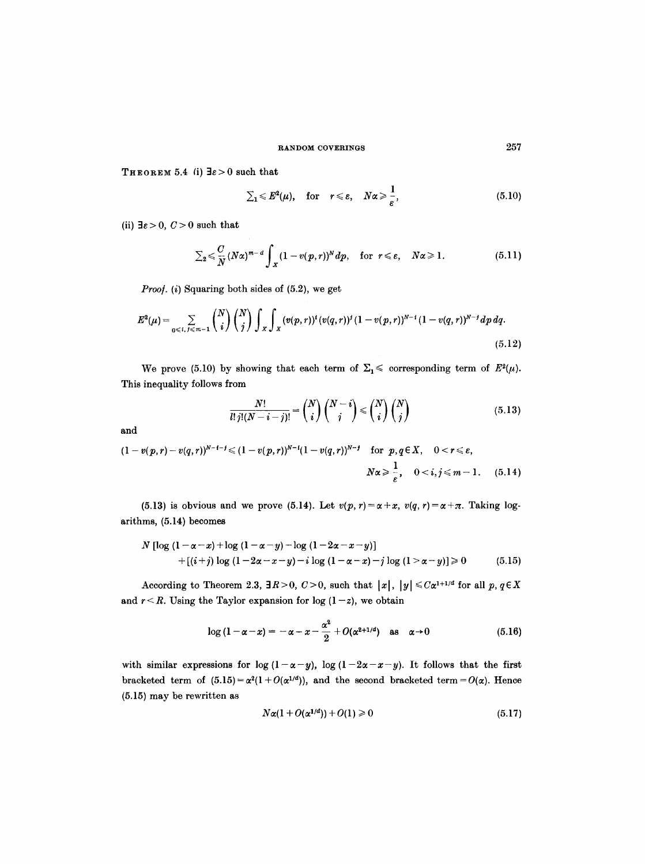THEOREM 5.4 (i)  $\exists \varepsilon > 0$  such that

$$
\sum_{1} \leqslant E^{2}(\mu), \quad \text{for} \quad r \leqslant \varepsilon, \quad N\alpha \geqslant \frac{1}{\varepsilon}, \tag{5.10}
$$

(ii)  $\exists \varepsilon > 0$ ,  $C > 0$  such that

$$
\sum_{2} \leq \frac{C}{N} (N\alpha)^{m-d} \int_{X} (1-v(p,r))^{N} dp, \text{ for } r \leq \varepsilon, \quad N\alpha \geq 1.
$$
 (5.11)

*Proof.* (i) Squaring both sides of (5.2), we get

$$
E^{2}(\mu) = \sum_{0 \leq i, j \leq m-1} {N \choose i} {N \choose j} \int_{X} \int_{X} (v(p,r))^{i} (v(q,r))^{j} (1-v(p,r))^{N-i} (1-v(q,r))^{N-j} dp dq.
$$
\n(5.12)

We prove (5.10) by showing that each term of  $\Sigma_1 \leq$  corresponding term of  $E^2(\mu)$ . This inequality follows from

$$
\frac{N!}{l! \, j! (N-i-j)!} = \binom{N}{i} \binom{N-i}{j} \leq \binom{N}{i} \binom{N}{j} \tag{5.13}
$$

and

$$
(1 - v(p,r) - v(q,r))^{N-t-j} \leq (1 - v(p,r))^{N-t} (1 - v(q,r))^{N-j} \quad \text{for } p, q \in X, \quad 0 < r \leq \varepsilon,
$$
  

$$
N\alpha \geq \frac{1}{\varepsilon}, \quad 0 < i, j \leq m-1. \quad (5.14)
$$

(5.13) is obvious and we prove (5.14). Let  $v(p, r) = \alpha + x$ ,  $v(q, r) = \alpha + \pi$ . Taking logarithms, (5.14) becomes

$$
N [\log (1 - \alpha - x) + \log (1 - \alpha - y) - \log (1 - 2\alpha - x - y)]
$$
  
+ [(i+j) \log (1 - 2\alpha - x - y) - i \log (1 - \alpha - x) - j \log (1 - \alpha - y)] \ge 0 \t(5.15)

According to Theorem 2.3,  $\exists R > 0$ ,  $C > 0$ , such that  $|x|, |y| \leq C\alpha^{1+1/d}$  for all  $p, q \in X$ and  $r < R$ . Using the Taylor expansion for log  $(1-z)$ , we obtain

$$
\log\left(1-\alpha-x\right)=-\alpha-x-\frac{\alpha^2}{2}+O(\alpha^{2+1/d})\quad\text{as}\quad\alpha\to 0\tag{5.16}
$$

with similar expressions for  $\log (1-\alpha-y)$ ,  $\log (1-2\alpha-x-y)$ . It follows that the first bracketed term of  $(5.15) = \alpha^2(1 + O(\alpha^{1/d}))$ , and the second bracketed term =  $O(\alpha)$ . Hence (5.15) may be rewritten as

$$
N\alpha(1+O(\alpha^{1/d})) + O(1) \geqslant 0 \tag{5.17}
$$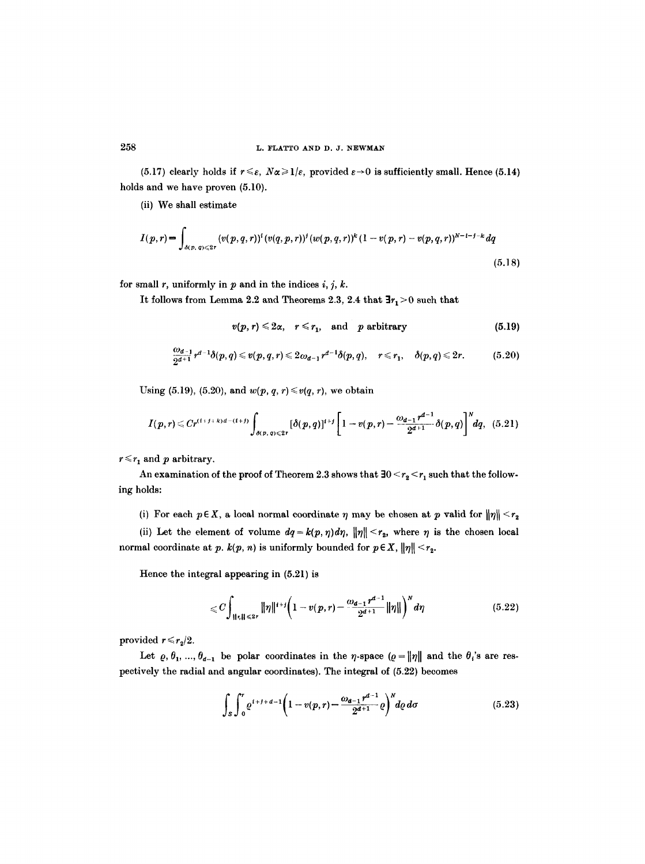(5.17) clearly holds if  $r \leq \varepsilon$ ,  $N\alpha \geq 1/\varepsilon$ , provided  $\varepsilon \to 0$  is sufficiently small. Hence (5.14) holds and we have proven (5.10).

(ii) We shall estimate

$$
I(p,r) = \int_{\delta(p,q) \leqslant 2r} (v(p,q,r))^{i} (v(q,p,r))^{j} (w(p,q,r))^{k} (1 - v(p,r) - v(p,q,r))^{N-l-j-k} dq
$$
\n(5.18)

for small r, uniformly in p and in the indices i, j, k.

It follows from Lemma 2.2 and Theorems 2.3, 2.4 that  $\exists r_1 \geq 0$  such that

$$
v(p,r) \leq 2\alpha, \quad r \leq r_1, \quad \text{and} \quad p \text{ arbitrary}
$$
 (5.19)

$$
\frac{\omega_{d-1}}{2^{d+1}}r^{d-1}\delta(p,q)\leqslant v(p,q,r)\leqslant 2\omega_{d-1}r^{d-1}\delta(p,q),\quad r\leqslant r_1,\quad \delta(p,q)\leqslant 2r.\tag{5.20}
$$

Using (5.19), (5.20), and  $w(p, q, r) \leq v(q, r)$ , we obtain

$$
I(p,r) \leq Cr^{(1+j+k)d-(1+j)} \int_{\delta(p,q)\leqslant 2r} [\delta(p,q)]^{i+j} \left[1-v(p,r)-\frac{\omega_{d-1}r^{d-1}}{2^{d+1}}\delta(p,q)\right]^N dq, (5.21)
$$

 $r \leq r_1$  and p arbitrary.

An examination of the proof of Theorem 2.3 shows that  $30 < r_2 < r_1$  such that the following holds:

(i) For each  $p \in X$ , a local normal coordinate  $\eta$  may be chosen at p valid for  $\|\eta\| \leq r_2$ 

(ii) Let the element of volume  $dq = k(p, \eta) d\eta$ ,  $\|\eta\| < r_2$ , where  $\eta$  is the chosen local normal coordinate at *p. k(p, n)* is uniformly bounded for  $p \in X$ ,  $\|\eta\| \leq r_2$ .

Hence the integral appearing in (5.21) is

$$
\leqslant C \int_{\|\tau\| \leqslant 2r} \|\eta\|^{t+j} \bigg(1-v(p,r)-\frac{\omega_{d-1}r^{d-1}}{2^{d+1}}\|\eta\|\bigg)^N d\eta \qquad (5.22)
$$

provided  $r \le r_2/2$ .

Let  $\varrho, \theta_1, ..., \theta_{d-1}$  be polar coordinates in the  $\eta$ -space  $(\varrho = ||\eta||$  and the  $\theta_i$ 's are respectively the radial and angular coordinates). The integral of (5.22) becomes

$$
\int_{S} \int_{0}^{r} \varrho^{i+j+d-1} \bigg(1-v(p,r)-\frac{\omega_{d-1}r^{d-1}}{2^{d+1}}\varrho\bigg)^{N} d\varrho d\sigma \qquad (5.23)
$$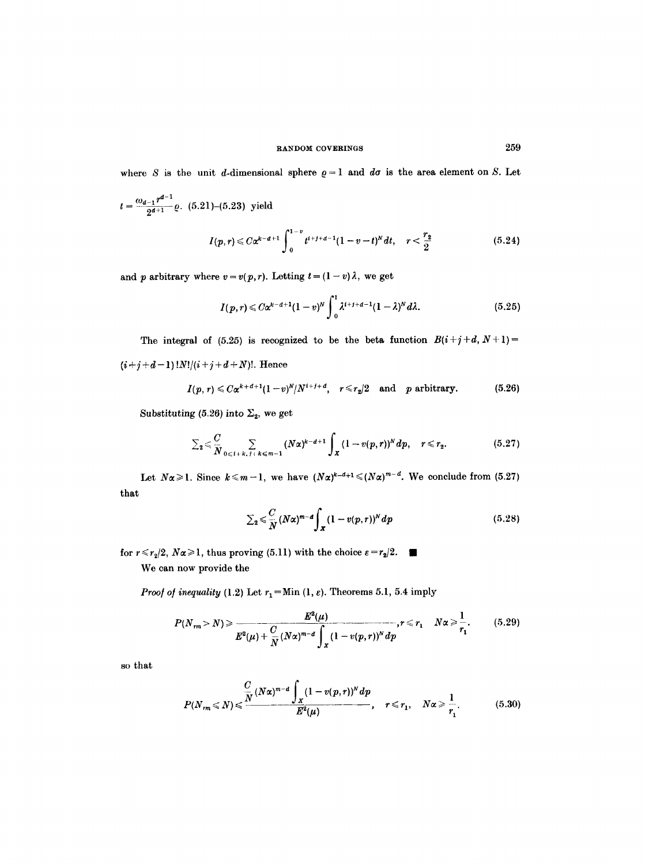where S is the unit d-dimensional sphere  $\rho = 1$  and  $d\sigma$  is the area element on S. Let

 $\frac{\omega_{d-1} r^{d-1}}{2^{d+1}}$ e. (5.21)–(5.23) yield

$$
I(p,r) \leq C\alpha^{k-d+1} \int_0^{1-v} t^{i+j+d-1} (1-v-t)^N dt, \quad r < \frac{r_2}{2}
$$
 (5.24)

and p arbitrary where  $v = v(p,r)$ . Letting  $t = (1-v)\lambda$ , we get

$$
I(p,r) \leq C\alpha^{k-d+1}(1-v)^N \int_0^1 \lambda^{t+j+d-1}(1-\lambda)^N d\lambda.
$$
 (5.25)

The integral of (5.25) is recognized to be the beta function  $B(i+j+d, N+1)$ =  $(i+j+d-1)!N!/(i+j+d+N)!$ . Hence

$$
I(p,r) \leq C\alpha^{k+d+1}(1-v)^N/N^{i+j+d}, \quad r \leq r_2/2 \quad \text{and} \quad p \text{ arbitrary.} \tag{5.26}
$$

Substituting (5.26) into  $\Sigma_{2}$ , we get

$$
\sum_2 \leqslant \frac{C}{N} \sum_{0 \leqslant i+k, j+k \leqslant m-1} (N\alpha)^{k-d+1} \int_X (1-v(p,r))^N dp, \quad r \leqslant r_2. \tag{5.27}
$$

Let  $N\alpha\geq 1$ . Since  $k\leq m-1$ , we have  $(N\alpha)^{k-d+1}\leq (N\alpha)^{m-d}$ . We conclude from (5.27) that

$$
\sum_{2} \leq \frac{C}{N} (N\alpha)^{m-d} \int_{\mathfrak{X}} (1-v(p,r))^N dp \qquad (5.28)
$$

for  $r \le r_2/2$ ,  $N\alpha \ge 1$ , thus proving (5.11) with the choice  $\varepsilon = r_2/2$ .

We can now provide the

*Proof of inequality* (1.2) Let  $r_1 =$ Min (1,  $\varepsilon$ ). Theorems 5.1, 5.4 imply

$$
P(N_{rm} > N) \ge \frac{E^2(\mu)}{E^2(\mu) + \frac{C}{N}(N\alpha)^{m-d} \int_X (1 - v(p,r))^N dp}, r \le r_1 \quad N\alpha \ge \frac{1}{r_1}.
$$
 (5.29)

so that

$$
P(N_{rm} \leq N) \leq \frac{\frac{C}{N}(N\alpha)^{m-d}\int_{X}(1-v(p,r))^{N}dp}{E^{2}(\mu)}, \quad r \leq r_{1}, \quad N\alpha \geq \frac{1}{r_{1}}.
$$
 (5.30)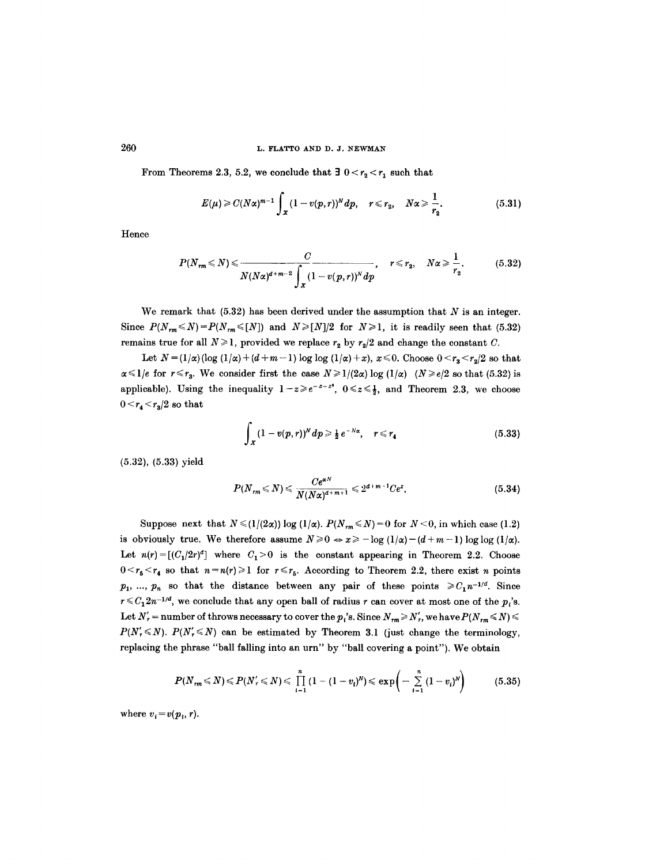#### 260 L. FLATTO AND D. J. NEWMAN

From Theorems 2.3, 5.2, we conclude that  $\exists$   $0 < r_2 < r_1$  such that

$$
E(\mu) \geq C(N\alpha)^{m-1} \int_{\mathfrak{X}} (1-v(p,r))^N dp, \quad r \leq r_2, \quad N\alpha \geq \frac{1}{r_2}.
$$
 (5.31)

Hence

$$
P(N_{rm} \leq N) \leq \frac{C}{N(N\alpha)^{d+m-2}\int_{X} (1-v(p,r))^N dp}, \quad r \leq r_2, \quad N\alpha \geq \frac{1}{r_2}.
$$
 (5.32)

We remark that  $(5.32)$  has been derived under the assumption that N is an integer. Since  $P(N_{rm} \le N) = P(N_{rm} \le [N])$  and  $N \ge [N]/2$  for  $N \ge 1$ , it is readily seen that (5.32) remains true for all  $N \ge 1$ , provided we replace  $r_2$  by  $r_2/2$  and change the constant C.

Let  $N = (1/\alpha) (\log (1/\alpha) + (d+m-1) \log \log (1/\alpha) + x)$ ,  $x \le 0$ . Choose  $0 \le r_3 \le r_2/2$  so that  $\alpha \leq 1/e$  for  $r \leq r_3$ . We consider first the case  $N \geq 1/(2\alpha) \log (1/\alpha)$   $(N \geq e/2$  so that (5.32) is applicable). Using the inequality  $1-z\geqslant e^{-z-z^2}$ ,  $0\leqslant z\leqslant \frac{1}{2}$ , and Theorem 2.3, we choose  $0 < r_4 < r_3/2$  so that

$$
\int_{X} (1 - v(p, r))^N dp \ge \frac{1}{2} e^{-N\alpha}, \quad r \le r_4
$$
\n(5.33)

(5.32), (5.33) yield

$$
P(N_{rm} \leq N) \leq \frac{Ce^{\alpha N}}{N(N\alpha)^{d+m+1}} \leq 2^{d+m-1}Ce^{x}, \qquad (5.34)
$$

Suppose next that  $N \leq (1/(2\alpha)) \log (1/\alpha)$ .  $P(N_{rm} \leq N) = 0$  for  $N < 0$ , in which case (1.2) is obviously true. We therefore assume  $N \ge 0 \Leftrightarrow x \ge -\log(1/\alpha) - (d+m-1) \log \log(1/\alpha)$ . Let  $n(r)=[(C_1/2r)^d]$  where  $C_1>0$  is the constant appearing in Theorem 2.2. Choose  $0 \leq r_5 \leq r_4$  so that  $n = n(r) \geq 1$  for  $r \leq r_5$ . According to Theorem 2.2, there exist n points  $p_1, ..., p_n$  so that the distance between any pair of these points  $\geq C_1 n^{-1/d}$ . Since  $r \leq C_1 2n^{-1/d}$ , we conclude that any open ball of radius r can cover at most one of the  $p_i$ 's. Let  $N'_r$  = number of throws necessary to cover the  $p_t$ 's. Since  $N_{rm} \ge N'_r$ , we have  $P(N_{rm} \le N)$  $P(N'_{r} \leq N)$ .  $P(N'_{r} \leq N)$  can be estimated by Theorem 3.1 (just change the terminology, replacing the phrase "ball falling into an urn" by "ball covering a point"). We obtain

$$
P(N_{rm} \leq N) \leq P(N'_{r} \leq N) \leq \prod_{i=1}^{n} (1-(1-v_{i})^{N}) \leq \exp\left(-\sum_{i=1}^{n} (1-v_{i})^{N}\right) \qquad (5.35)
$$

where  $v_i = v(p_i, r)$ .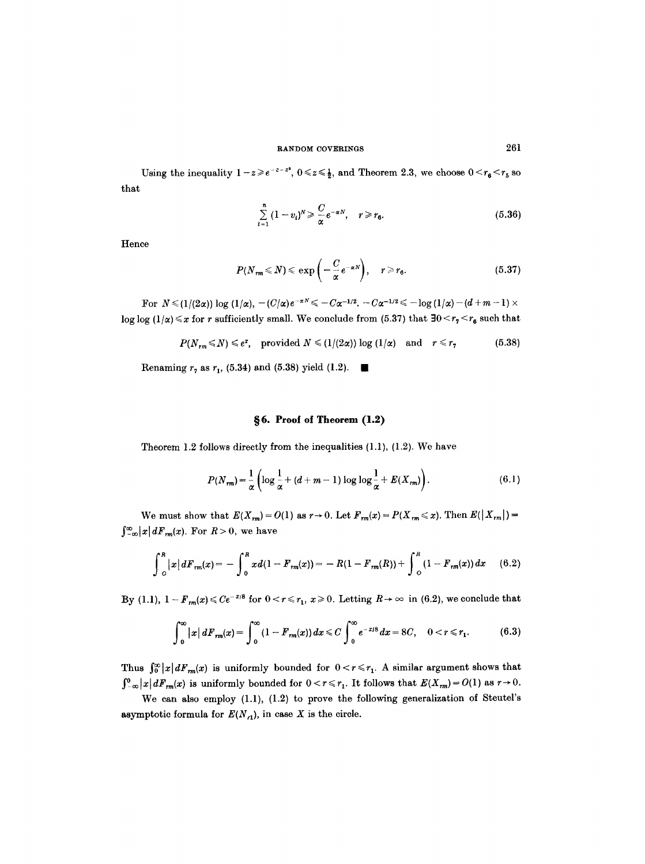that Using the inequality  $1 - z \geq e^{-z - z^2}$ ,  $0 \leq z \leq \frac{1}{2}$ , and Theorem 2.3, we choose  $0 \leq r_6 \leq r_5$  so

$$
\sum_{i=1}^{n} (1 - v_i)^N \geqslant \frac{C}{\alpha} e^{-\alpha N}, \quad r \geqslant r_6. \tag{5.36}
$$

Hence

$$
P(N_{rm} \leq N) \leq \exp\left(-\frac{C}{\alpha}e^{-\alpha N}\right), \quad r \geq r_6. \tag{5.37}
$$

For  $N \leq (1/(2\alpha)) \log (1/\alpha)$ ,  $-(C/\alpha)e^{-\alpha N} \leq -C\alpha^{-1/2}$ .  $-C\alpha^{-1/2} \leq -\log(1/\alpha) - (d+m-1) \times$  $\log \log (1/\alpha) \leq x$  for r sufficiently small. We conclude from (5.37) that  $\exists 0 \leq r_{7} \leq r_{6}$  such that

$$
P(N_{rm} \leq N) \leq e^{\tau}, \quad \text{provided } N \leq (1/(2\alpha)) \log (1/\alpha) \quad \text{and} \quad r \leq r_{7} \tag{5.38}
$$

Renaming  $r_7$  as  $r_1$ , (5.34) and (5.38) yield (1.2).

# **w 6. Proof of Theorem (1.2)**

Theorem 1.2 follows directly from the inequalities (1.1), (1.2). We have

$$
P(N_{rm}) = \frac{1}{\alpha} \left( \log \frac{1}{\alpha} + (d + m - 1) \log \log \frac{1}{\alpha} + E(X_{rm}) \right).
$$
 (6.1)

We must show that  $E(X_{rm}) = O(1)$  as  $r \to 0$ . Let  $F_{rm}(x) = P(X_{rm} \leq x)$ . Then  $E(|X_{rm}|) =$  $\int_{-\infty}^{\infty} |x| dF_{rm}(x)$ . For  $R > 0$ , we have

$$
\int_{O}^{R} |x| dF_{rm}(x) = -\int_{O}^{R} x d(1 - F_{rm}(x)) = -R(1 - F_{rm}(R)) + \int_{O}^{R} (1 - F_{rm}(x)) dx \qquad (6.2)
$$

By (1.1),  $1 - F_{rm}(x) \leq C e^{-x/8}$  for  $0 < r \leq r_1$ ,  $x \geq 0$ . Letting  $R \to \infty$  in (6.2), we conclude that

$$
\int_0^\infty |x| \, dF_{rm}(x) = \int_0^\infty (1 - F_{rm}(x)) \, dx \leq C \int_0^\infty e^{-x/8} \, dx = 8C, \quad 0 < r \leq r_1. \tag{6.3}
$$

Thus  $\int_0^\infty |x|dF_m(x)$  is uniformly bounded for  $0 < r \le r_1$ . A similar argument shows that  $\int_{-\infty}^0 |x| dF_m(x)$  is uniformly bounded for  $0 < r \leq r_1$ . It follows that  $E(X_m) = O(1)$  as  $r \to 0$ .

We can also employ (1.1), (1.2) to prove the following generalization of Steutel's asymptotic formula for  $E(N_{r1})$ , in case X is the circle.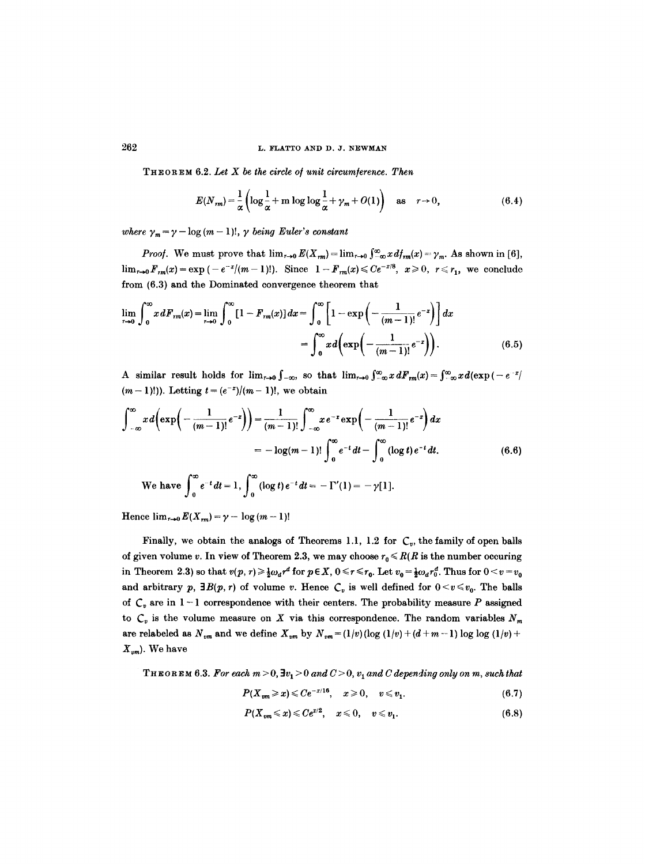THEOREM 6.2. Let X be the circle of unit circumference. Then

$$
E(N_{rm}) = \frac{1}{\alpha} \left( \log \frac{1}{\alpha} + m \log \log \frac{1}{\alpha} + \gamma_m + O(1) \right) \quad \text{as} \quad r \to 0,
$$
 (6.4)

*where*  $\gamma_m = \gamma - \log(m-1)!$ ,  $\gamma$  *being Euler's constant* 

*Proof.* We must prove that  $\lim_{r\to 0} E(X_{rm}) = \lim_{r\to 0} \int_{-\infty}^{\infty} x \, d f_{rm}(x) = \gamma_m$ . As shown in [6],  $\lim_{r\to 0} F_{rm}(x) = \exp(-e^{-x}/(m-1)!)$ . Since  $1 - F_{rm}(x) \le Ce^{-x/8}$ ,  $x \ge 0$ ,  $r \le r_1$ , we conclude from (6.3) and the Dominated convergence theorem that

$$
\lim_{r \to 0} \int_0^\infty x \, dF_{rn}(x) = \lim_{r \to 0} \int_0^\infty [1 - F_{rn}(x)] \, dx = \int_0^\infty \left[ 1 - \exp\left( - \frac{1}{(m-1)!} e^{-x} \right) \right] dx
$$
\n
$$
= \int_0^\infty x \, d\left( \exp\left( - \frac{1}{(m-1)!} e^{-x} \right) \right). \tag{6.5}
$$

A similar result holds for  $\lim_{r\to 0}\int_{-\infty}^{\infty}$ , so that  $\lim_{r\to 0}\int_{-\infty}^{\infty}x dF_m(x)=\int_{-\infty}^{\infty}x d(\exp(-e^{-x/2})$  $(m-1)!$ ). Letting  $t = (e^{-x})/(m-1)!$ , we obtain

$$
\int_{-\infty}^{\infty} x d\left(\exp\left(-\frac{1}{(m-1)!}e^{-x}\right)\right) = \frac{1}{(m-1)!} \int_{-\infty}^{\infty} x e^{-x} \exp\left(-\frac{1}{(m-1)!}e^{-x}\right) dx
$$
  
=  $-\log(m-1)! \int_{0}^{\infty} e^{-t} dt - \int_{0}^{\infty} (\log t) e^{-t} dt.$  (6.6)  
We have  $\int_{0}^{\infty} e^{-t} dt = 1$ ,  $\int_{0}^{\infty} (\log t) e^{-t} dt = -\Gamma'(1) = -\gamma[1].$ 

Hence  $\lim_{r\to 0} E(X_{rm}) = \gamma - \log(m-1)!$ 

Finally, we obtain the analogs of Theorems 1.1, 1.2 for  $C_v$ , the family of open balls of given volume v. In view of Theorem 2.3, we may choose  $r_0 \leq R(R)$  is the number occuring in Theorem 2.3) so that  $v(p, r) \geq \frac{1}{2} \omega_d r^d$  for  $p \in X$ ,  $0 \leq r \leq r_0$ . Let  $v_0 = \frac{1}{2} \omega_d r_0^d$ . Thus for  $0 \leq v = v_0$ and arbitrary p,  $\exists B(p, r)$  of volume v. Hence  $C_v$  is well defined for  $0 \le v \le v_0$ . The balls of  $C_v$  are in  $1-1$  correspondence with their centers. The probability measure P assigned to  $C_v$  is the volume measure on X via this correspondence. The random variables  $N_m$ are relabeled as  $N_{vm}$  and we define  $X_{vm}$  by  $N_{vm} = (1/v)(\log(1/v) + (d + m - 1)\log \log(1/v) +$ *Xvm ).* We have

**THEOREM 6.3.** For each  $m > 0$ ,  $\exists v_1 > 0$  and  $C > 0$ ,  $v_1$  and C depending only on m, such that

$$
P(X_{vm} \geq x) \leq C e^{-x/16}, \quad x \geq 0, \quad v \leq v_1. \tag{6.7}
$$

$$
P(X_{vm}\leqslant x)\leqslant Ce^{x/2}, \quad x\leqslant 0, \quad v\leqslant v_1. \tag{6.8}
$$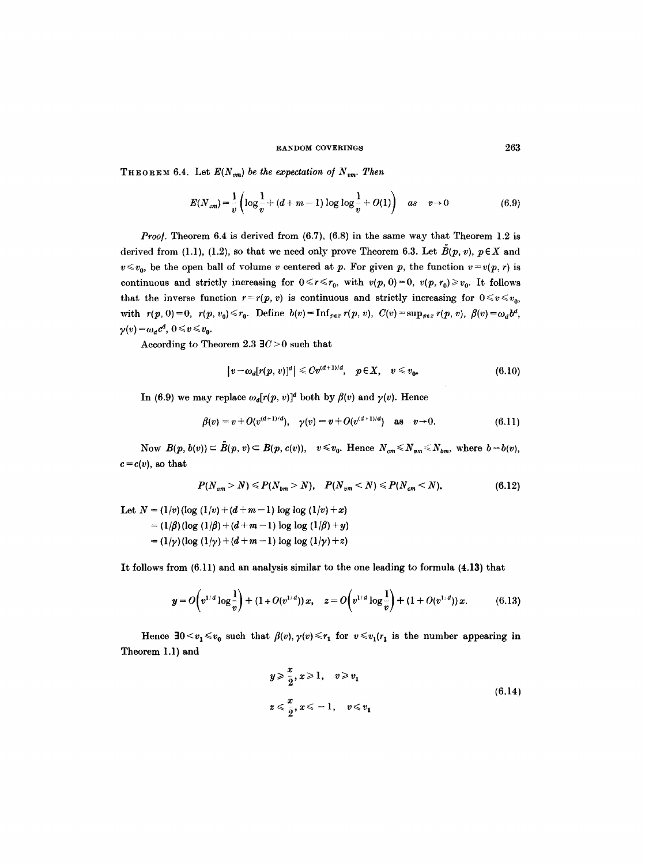**THEOREM 6.4.** Let  $E(N_{vm})$  be the expectation of  $N_{vm}$ . Then

$$
E(N_{vm}) = \frac{1}{v} \left( \log \frac{1}{v} + (d+m-1) \log \log \frac{1}{v} + O(1) \right) \quad \text{as} \quad v \to 0 \tag{6.9}
$$

*Proof.* Theorem 6.4 is derived from (6.7), (6.8) in the same way that Theorem 1.2 is derived from (1.1), (1.2), so that we need only prove Theorem 6.3. Let  $\tilde{B}(p, v)$ ,  $p \in X$  and  $v \leq v_0$ , be the open ball of volume v centered at p. For given p, the function  $v = v(p, r)$  is continuous and strictly increasing for  $0 \le r \le r_0$ , with  $v(p, 0) = 0$ ,  $v(p, r_0) \ge v_0$ . It follows that the inverse function  $r=r(p, v)$  is continuous and strictly increasing for  $0 \le v \le v_0$ , with  $r(p, 0) = 0$ ,  $r(p, v_0) \le r_0$ . Define  $b(v) = \text{Inf}_{per} r(p, v)$ ,  $C(v) = \sup_{p \in x} r(p, v)$ ,  $\beta(v) = \omega_d b^d$ ,  $\gamma(v) = \omega_d c^d, \ 0 \leq v \leq v_0.$ 

According to Theorem 2.3  $\exists C > 0$  such that

$$
|v-\omega_a[r(p,v)]^d|\leq C v^{(d+1)/d}, \quad p\in X, \quad v\leq v_0.
$$
\n(6.10)

In (6.9) we may replace  $\omega_d[r(p, v)]^d$  both by  $\beta(v)$  and  $\gamma(v)$ . Hence

$$
\beta(v) = v + O(v^{(d+1)/d}), \quad \gamma(v) = v + O(v^{(d+1)/d}) \quad \text{as} \quad v \to 0. \tag{6.11}
$$

Now  $B(p, b(v)) \subset \tilde{B}(p, v) \subset B(p, c(v)), v \leq v_0$ . Hence  $N_{cm} \leq N_{vm} \leq N_{bm}$ , where  $b = b(v)$ ,  $c = c(v)$ , so that

$$
P(N_{vm} > N) \leq P(N_{bm} > N), \quad P(N_{vm} < N) \leq P(N_{cm} < N).
$$
 (6.12)

Let  $N = (1/v) (\log (1/v) + (d + m - 1)) \log \log (1/v) + x)$  $= (1/\beta)(\log (1/\beta) + (d+m-1)\log \log (1/\beta) + y)$  $= (1/\gamma)(\log (1/\gamma) + (d+m-1) \log \log (1/\gamma) + z)$ 

It follows from (6.11) and an analysis similar to the one leading to formula (4.13) that

$$
y = O\left(v^{1/d} \log \frac{1}{v}\right) + (1 + O(v^{1/d})) x, \quad z = O\left(v^{1/d} \log \frac{1}{v}\right) + (1 + O(v^{1/d})) x. \tag{6.13}
$$

Hence  $30 < v_1 \le v_0$  such that  $\beta(v), \gamma(v) \le r_1$  for  $v \le v_1(r_1)$  is the number appearing in Theorem 1.1) and

$$
y \geqslant \frac{x}{2}, x \geqslant 1, \quad v \geqslant v_1
$$
  

$$
z \leqslant \frac{x}{2}, x \leqslant -1, \quad v \leqslant v_1
$$
  
(6.14)